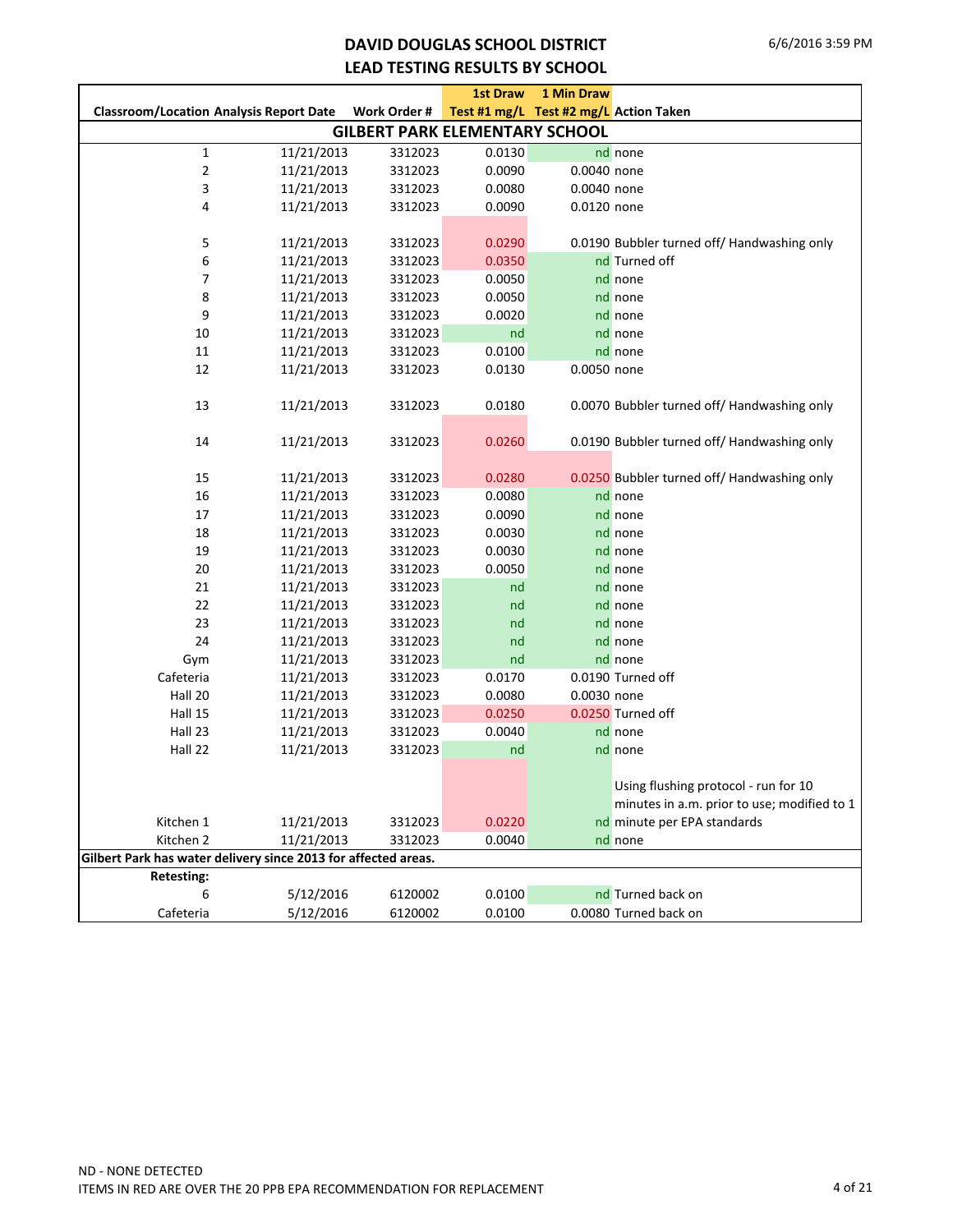### **DAVID DOUGLAS SCHOOL DISTRICT LEAD TESTING RESULTS BY SCHOOL**

|                                                                |            |                                       | <b>1st Draw</b> | <b>1 Min Draw</b>                      |                                             |
|----------------------------------------------------------------|------------|---------------------------------------|-----------------|----------------------------------------|---------------------------------------------|
| <b>Classroom/Location Analysis Report Date</b>                 |            | Work Order #                          |                 | Test #1 mg/L Test #2 mg/L Action Taken |                                             |
|                                                                |            | <b>GILBERT PARK ELEMENTARY SCHOOL</b> |                 |                                        |                                             |
| $\mathbf{1}$                                                   | 11/21/2013 | 3312023                               | 0.0130          |                                        | nd none                                     |
| $\mathbf 2$                                                    | 11/21/2013 | 3312023                               | 0.0090          | 0.0040 none                            |                                             |
| 3                                                              | 11/21/2013 | 3312023                               | 0.0080          | 0.0040 none                            |                                             |
| 4                                                              | 11/21/2013 | 3312023                               | 0.0090          | 0.0120 none                            |                                             |
|                                                                |            |                                       |                 |                                        |                                             |
| 5                                                              | 11/21/2013 | 3312023                               | 0.0290          |                                        | 0.0190 Bubbler turned off/ Handwashing only |
| 6                                                              | 11/21/2013 | 3312023                               | 0.0350          |                                        | nd Turned off                               |
| 7                                                              | 11/21/2013 | 3312023                               | 0.0050          |                                        | nd none                                     |
| 8                                                              | 11/21/2013 | 3312023                               | 0.0050          |                                        | nd none                                     |
| 9                                                              | 11/21/2013 | 3312023                               | 0.0020          |                                        | nd none                                     |
| 10                                                             | 11/21/2013 | 3312023                               | nd              |                                        | nd none                                     |
| 11                                                             | 11/21/2013 | 3312023                               | 0.0100          |                                        | nd none                                     |
| 12                                                             | 11/21/2013 | 3312023                               | 0.0130          | 0.0050 none                            |                                             |
|                                                                |            |                                       |                 |                                        |                                             |
| 13                                                             | 11/21/2013 | 3312023                               | 0.0180          |                                        | 0.0070 Bubbler turned off/ Handwashing only |
|                                                                |            |                                       |                 |                                        |                                             |
| 14                                                             | 11/21/2013 | 3312023                               | 0.0260          |                                        | 0.0190 Bubbler turned off/ Handwashing only |
|                                                                |            |                                       |                 |                                        |                                             |
| 15                                                             | 11/21/2013 | 3312023                               | 0.0280          |                                        | 0.0250 Bubbler turned off/ Handwashing only |
| 16                                                             | 11/21/2013 | 3312023                               | 0.0080          |                                        | nd none                                     |
| 17                                                             | 11/21/2013 | 3312023                               | 0.0090          |                                        | nd none                                     |
| 18                                                             | 11/21/2013 | 3312023                               | 0.0030          |                                        | nd none                                     |
| 19                                                             | 11/21/2013 | 3312023                               | 0.0030          |                                        | nd none                                     |
| 20                                                             | 11/21/2013 | 3312023                               | 0.0050          |                                        | nd none                                     |
| 21                                                             | 11/21/2013 | 3312023                               | nd              |                                        | nd none                                     |
| 22                                                             | 11/21/2013 | 3312023                               | nd              |                                        | nd none                                     |
| 23                                                             | 11/21/2013 | 3312023                               | nd              |                                        | nd none                                     |
| 24                                                             | 11/21/2013 | 3312023                               | nd              |                                        | nd none                                     |
| Gym                                                            | 11/21/2013 | 3312023                               | nd              |                                        | nd none                                     |
| Cafeteria                                                      | 11/21/2013 | 3312023                               | 0.0170          |                                        | 0.0190 Turned off                           |
| Hall 20                                                        | 11/21/2013 | 3312023                               | 0.0080          | 0.0030 none                            |                                             |
| Hall 15                                                        | 11/21/2013 | 3312023                               | 0.0250          |                                        | 0.0250 Turned off                           |
| Hall 23                                                        | 11/21/2013 | 3312023                               | 0.0040          |                                        | nd none                                     |
| Hall 22                                                        | 11/21/2013 | 3312023                               | nd              |                                        | nd none                                     |
|                                                                |            |                                       |                 |                                        |                                             |
|                                                                |            |                                       |                 |                                        | Using flushing protocol - run for 10        |
|                                                                |            |                                       |                 |                                        | minutes in a.m. prior to use; modified to 1 |
| Kitchen 1                                                      | 11/21/2013 | 3312023                               | 0.0220          |                                        | nd minute per EPA standards                 |
| Kitchen 2                                                      | 11/21/2013 | 3312023                               | 0.0040          |                                        | nd none                                     |
| Gilbert Park has water delivery since 2013 for affected areas. |            |                                       |                 |                                        |                                             |
| <b>Retesting:</b>                                              |            |                                       |                 |                                        |                                             |
| 6                                                              | 5/12/2016  | 6120002                               | 0.0100          |                                        | nd Turned back on                           |
| Cafeteria                                                      | 5/12/2016  | 6120002                               | 0.0100          |                                        | 0.0080 Turned back on                       |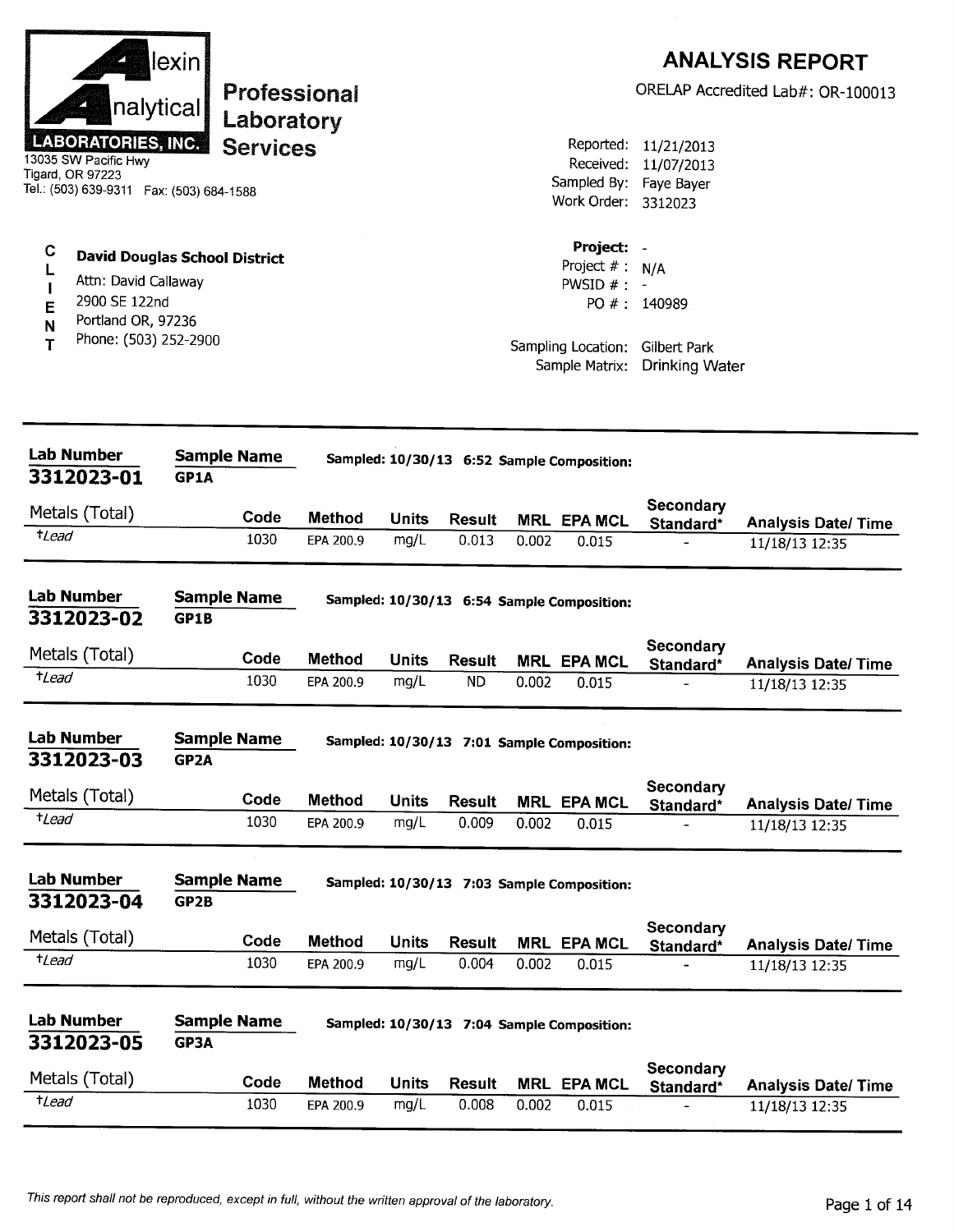| lexin<br>nalytical<br>Laboratory<br><b>LABORATORIES, INC.</b><br><b>Services</b><br>13035 SW Pacific Hwy<br>Tigard, OR 97223<br>Tel.: (503) 639-9311  Fax: (503) 684-1588<br>C<br><b>David Douglas School District</b><br>L<br>Attn: David Callaway<br>$\mathbf{I}$<br>2900 SE 122nd<br>E<br>Portland OR, 97236<br>N<br>Phone: (503) 252-2900<br>T | Professional  |              |                 |       | Reported:<br>Received:<br>Work Order: 3312023<br>Project: -<br>Project $# : N/A$<br>PWSID $#$ : -<br>Sampling Location: | 11/21/2013<br>11/07/2013<br>Sampled By: Faye Bayer<br>PO #: 140989<br>Gilbert Park | <b>ANALYSIS REPORT</b><br>ORELAP Accredited Lab#: OR-100013 |
|----------------------------------------------------------------------------------------------------------------------------------------------------------------------------------------------------------------------------------------------------------------------------------------------------------------------------------------------------|---------------|--------------|-----------------|-------|-------------------------------------------------------------------------------------------------------------------------|------------------------------------------------------------------------------------|-------------------------------------------------------------|
|                                                                                                                                                                                                                                                                                                                                                    |               |              |                 |       | Sample Matrix:                                                                                                          | <b>Drinking Water</b>                                                              |                                                             |
|                                                                                                                                                                                                                                                                                                                                                    |               |              |                 |       |                                                                                                                         |                                                                                    |                                                             |
| Lab Number<br><b>Sample Name</b><br>3312023-01<br>GP1A                                                                                                                                                                                                                                                                                             |               |              |                 |       | Sampled: 10/30/13 6:52 Sample Composition:                                                                              |                                                                                    |                                                             |
| Metals (Total)<br>Code                                                                                                                                                                                                                                                                                                                             | <b>Method</b> | <b>Units</b> |                 |       |                                                                                                                         | Secondary                                                                          |                                                             |
| <sup>+</sup> Lead<br>1030                                                                                                                                                                                                                                                                                                                          | EPA 200.9     | mg/L         | Result<br>0.013 | 0.002 | <b>MRL EPA MCL</b><br>0.015                                                                                             | Standard*                                                                          | <b>Analysis Date/Time</b><br>11/18/13 12:35                 |
| <b>Lab Number</b><br><b>Sample Name</b><br>3312023-02<br>GP1B                                                                                                                                                                                                                                                                                      |               |              |                 |       | Sampled: 10/30/13 6:54 Sample Composition:                                                                              |                                                                                    |                                                             |
| Metals (Total)<br>Code                                                                                                                                                                                                                                                                                                                             | <b>Method</b> | <b>Units</b> | <b>Result</b>   |       | <b>MRL EPA MCL</b>                                                                                                      | Secondary<br>Standard*                                                             | <b>Analysis Date/ Time</b>                                  |
| $t$ <i>Lead</i><br>1030                                                                                                                                                                                                                                                                                                                            | EPA 200.9     | mg/L         | <b>ND</b>       | 0.002 | 0.015                                                                                                                   |                                                                                    | 11/18/13 12:35                                              |
| <b>Lab Number</b><br>Sample Name<br>3312023-03<br>GP <sub>2</sub> A                                                                                                                                                                                                                                                                                |               |              |                 |       | Sampled: 10/30/13 7:01 Sample Composition:                                                                              |                                                                                    |                                                             |
| Metals (Total)<br>Code                                                                                                                                                                                                                                                                                                                             | <b>Method</b> | <b>Units</b> | <b>Result</b>   |       | <b>MRL EPA MCL</b>                                                                                                      | Secondary<br>Standard*                                                             | <b>Analysis Date/ Time</b>                                  |
| $t$ Lead<br>1030                                                                                                                                                                                                                                                                                                                                   | EPA 200.9     | mg/L         | 0.009           | 0.002 | 0.015                                                                                                                   |                                                                                    | 11/18/13 12:35                                              |
| <b>Lab Number</b><br><b>Sample Name</b><br>3312023-04<br>GP2B                                                                                                                                                                                                                                                                                      |               |              |                 |       | Sampled: 10/30/13 7:03 Sample Composition:                                                                              |                                                                                    |                                                             |
| Metals (Total)<br>Code                                                                                                                                                                                                                                                                                                                             | <b>Method</b> | <b>Units</b> | <b>Result</b>   |       | <b>MRL EPA MCL</b>                                                                                                      | Secondary<br>Standard*                                                             | <b>Analysis Date/Time</b>                                   |
| <i>tLead</i><br>1030                                                                                                                                                                                                                                                                                                                               | EPA 200.9     | mg/L         | 0.004           | 0.002 | 0.015                                                                                                                   |                                                                                    | 11/18/13 12:35                                              |
| Lab Number<br><b>Sample Name</b><br>3312023-05<br>GP3A                                                                                                                                                                                                                                                                                             |               |              |                 |       | Sampled: 10/30/13 7:04 Sample Composition:                                                                              |                                                                                    |                                                             |
| Metals (Total)<br>Code                                                                                                                                                                                                                                                                                                                             | Method        | Units        | <b>Result</b>   |       | <b>MRL EPA MCL</b>                                                                                                      | <b>Secondary</b><br>Standard*                                                      | <b>Analysis Date/Time</b>                                   |
| $t$ Lead<br>1030                                                                                                                                                                                                                                                                                                                                   | EPA 200.9     | mg/L         | 0.008           |       |                                                                                                                         |                                                                                    |                                                             |

**BERGERS**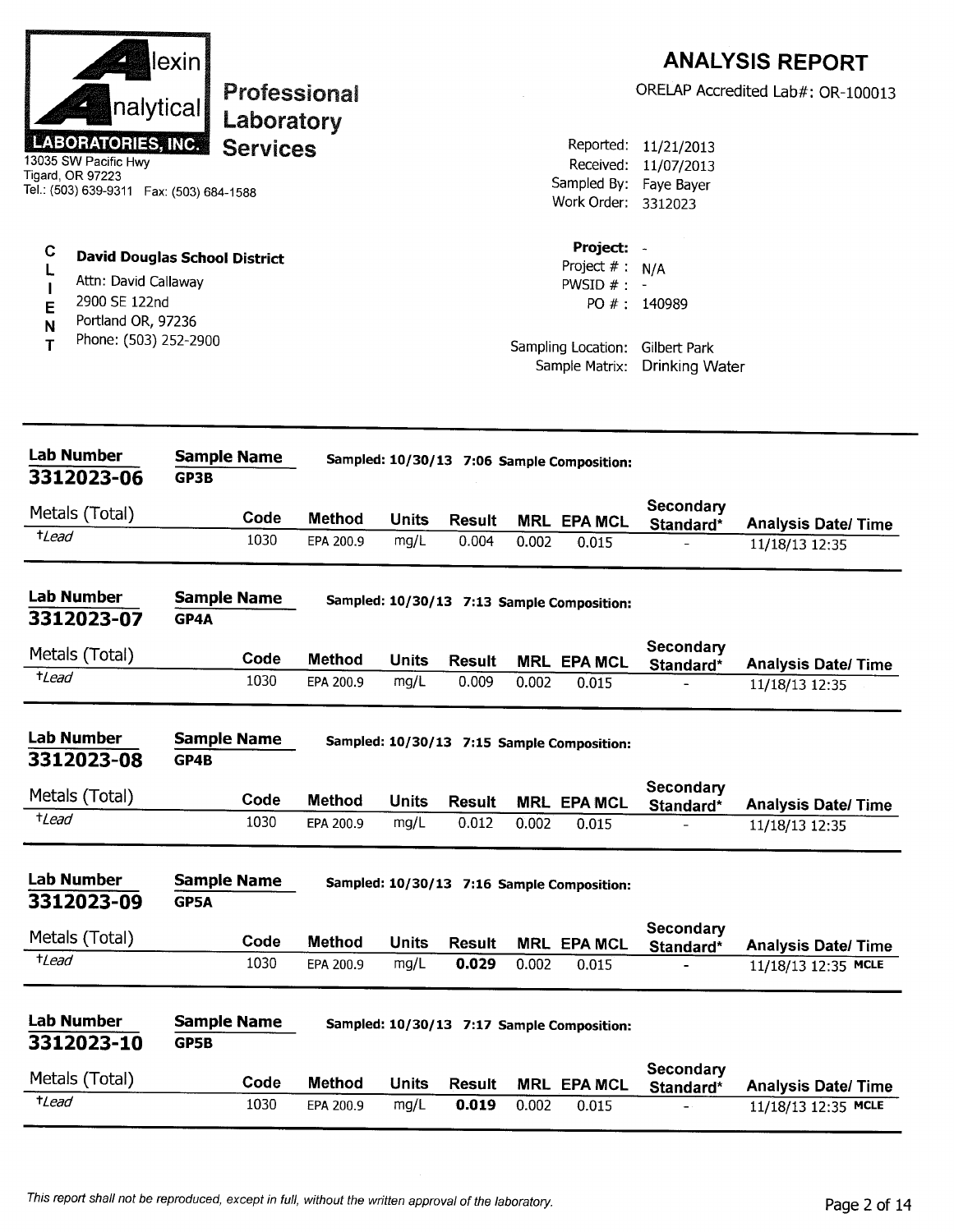| Project:<br>С<br><b>David Douglas School District</b><br>Project $#$ :<br>N/A<br>Attn: David Callaway<br>PWSID $#$ :<br>2900 SE 122nd<br>PO #: 140989<br>E<br>Portland OR, 97236<br>N<br>Phone: (503) 252-2900<br>т<br>Sampling Location:<br>Gilbert Park<br>Sample Matrix:<br><b>Drinking Water</b><br><b>Lab Number</b><br><b>Sample Name</b><br>Sampled: 10/30/13 7:06 Sample Composition:<br>3312023-06<br>GP3B<br>Secondary<br>Metals (Total)<br>Code<br><b>Method</b><br><b>Units</b><br><b>Result</b><br><b>MRL EPA MCL</b><br>Standard*<br>$t$ Lead<br>1030<br>mg/L<br>0.004<br>EPA 200.9<br>0.002<br>0.015<br>$\overline{a}$<br>Lab Number<br><b>Sample Name</b><br>Sampled: 10/30/13 7:13 Sample Composition:<br>3312023-07<br>GP4A<br>Secondary<br>Metals (Total)<br>Code<br><b>Method</b><br><b>Units</b><br><b>Result</b><br><b>MRL EPA MCL</b><br>Standard*<br>$t$ <i>Lead</i><br>1030<br>0.009<br>EPA 200.9<br>mg/L<br>0.002<br>0.015<br><b>Lab Number</b><br><b>Sample Name</b><br>Sampled: 10/30/13 7:15 Sample Composition:<br>3312023-08<br>GP4B | <b>Analysis Date/ Time</b>                        |
|---------------------------------------------------------------------------------------------------------------------------------------------------------------------------------------------------------------------------------------------------------------------------------------------------------------------------------------------------------------------------------------------------------------------------------------------------------------------------------------------------------------------------------------------------------------------------------------------------------------------------------------------------------------------------------------------------------------------------------------------------------------------------------------------------------------------------------------------------------------------------------------------------------------------------------------------------------------------------------------------------------------------------------------------------------------------|---------------------------------------------------|
|                                                                                                                                                                                                                                                                                                                                                                                                                                                                                                                                                                                                                                                                                                                                                                                                                                                                                                                                                                                                                                                                     |                                                   |
|                                                                                                                                                                                                                                                                                                                                                                                                                                                                                                                                                                                                                                                                                                                                                                                                                                                                                                                                                                                                                                                                     |                                                   |
|                                                                                                                                                                                                                                                                                                                                                                                                                                                                                                                                                                                                                                                                                                                                                                                                                                                                                                                                                                                                                                                                     |                                                   |
|                                                                                                                                                                                                                                                                                                                                                                                                                                                                                                                                                                                                                                                                                                                                                                                                                                                                                                                                                                                                                                                                     |                                                   |
|                                                                                                                                                                                                                                                                                                                                                                                                                                                                                                                                                                                                                                                                                                                                                                                                                                                                                                                                                                                                                                                                     | 11/18/13 12:35                                    |
|                                                                                                                                                                                                                                                                                                                                                                                                                                                                                                                                                                                                                                                                                                                                                                                                                                                                                                                                                                                                                                                                     | <b>Analysis Date/ Time</b><br>11/18/13 12:35      |
|                                                                                                                                                                                                                                                                                                                                                                                                                                                                                                                                                                                                                                                                                                                                                                                                                                                                                                                                                                                                                                                                     |                                                   |
| Secondary<br>Metals (Total)<br>Code<br><b>Method</b><br><b>Units</b><br><b>Result</b><br><b>MRL EPA MCL</b><br>Standard*                                                                                                                                                                                                                                                                                                                                                                                                                                                                                                                                                                                                                                                                                                                                                                                                                                                                                                                                            | <b>Analysis Date/Time</b>                         |
| $t$ Lead<br>1030<br>mg/L<br>0.012<br>EPA 200.9<br>0.002<br>0.015                                                                                                                                                                                                                                                                                                                                                                                                                                                                                                                                                                                                                                                                                                                                                                                                                                                                                                                                                                                                    | 11/18/13 12:35                                    |
| <b>Lab Number</b><br><b>Sample Name</b><br>Sampled: 10/30/13 7:16 Sample Composition:<br>3312023-09<br>GP5A                                                                                                                                                                                                                                                                                                                                                                                                                                                                                                                                                                                                                                                                                                                                                                                                                                                                                                                                                         |                                                   |
| Secondary<br>Metals (Total)                                                                                                                                                                                                                                                                                                                                                                                                                                                                                                                                                                                                                                                                                                                                                                                                                                                                                                                                                                                                                                         |                                                   |
| Code<br><b>Method</b><br><b>Units</b><br><b>Result</b><br><b>MRL EPA MCL</b><br>Standard*<br>$t$ Lead<br>1030<br>mg/L<br>0.029<br>EPA 200.9<br>0.002<br>0.015                                                                                                                                                                                                                                                                                                                                                                                                                                                                                                                                                                                                                                                                                                                                                                                                                                                                                                       | <b>Analysis Date/Time</b><br>11/18/13 12:35 MCLE  |
| <b>Lab Number</b><br><b>Sample Name</b><br>Sampled: 10/30/13 7:17 Sample Composition:<br>3312023-10<br>GP5B                                                                                                                                                                                                                                                                                                                                                                                                                                                                                                                                                                                                                                                                                                                                                                                                                                                                                                                                                         |                                                   |
| Secondary<br>Metals (Total)<br>Code                                                                                                                                                                                                                                                                                                                                                                                                                                                                                                                                                                                                                                                                                                                                                                                                                                                                                                                                                                                                                                 |                                                   |
| <b>Method</b><br><b>Units</b><br><b>Result</b><br>MRL EPA MCL<br>Standard*<br>$t$ Lead<br>1030<br>0.019<br>mg/L<br>0.002<br>EPA 200.9<br>0.015                                                                                                                                                                                                                                                                                                                                                                                                                                                                                                                                                                                                                                                                                                                                                                                                                                                                                                                      | <b>Analysis Date/ Time</b><br>11/18/13 12:35 MCLE |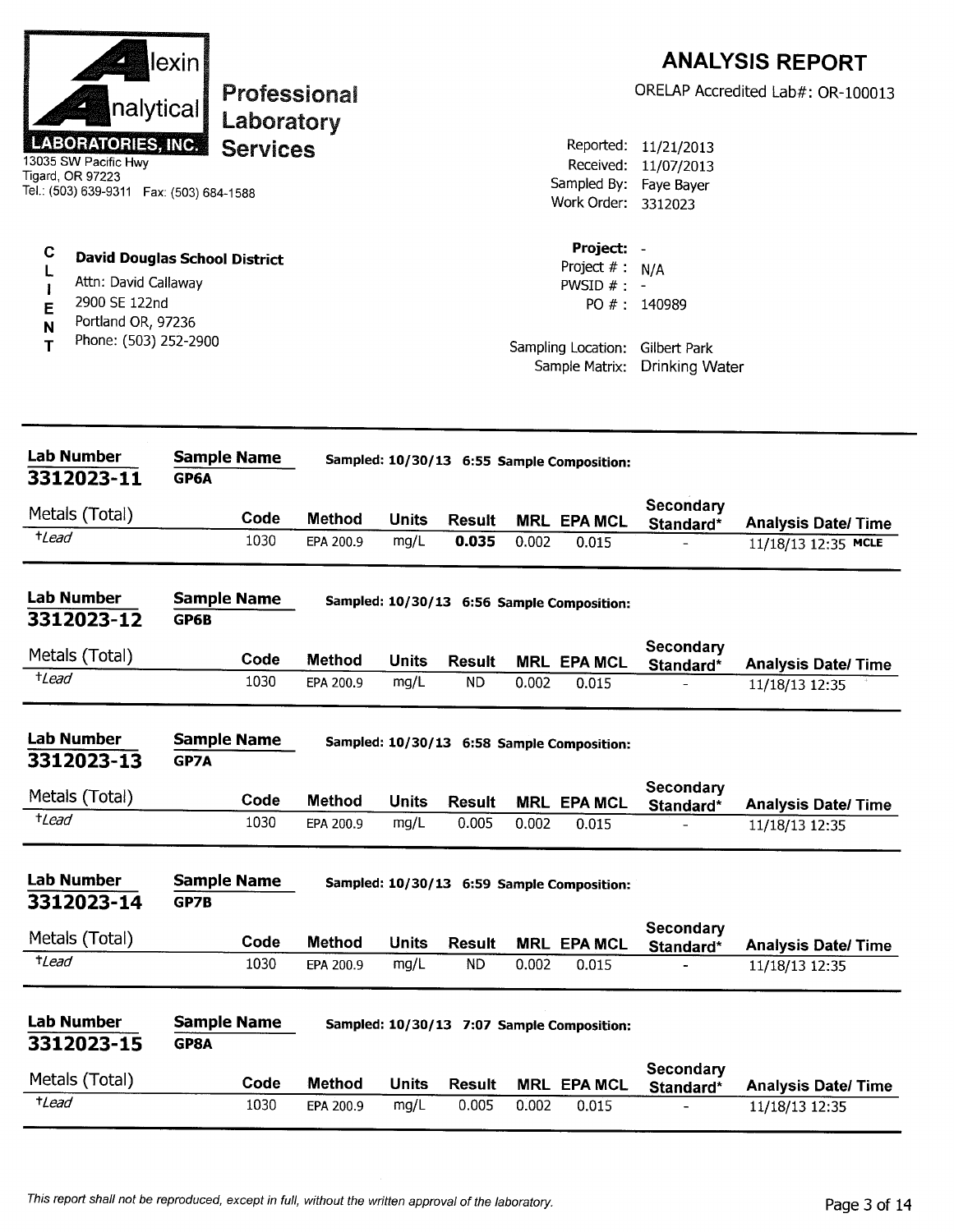| nalytical<br><b>LABORATORIES, INC.</b><br>13035 SW Pacific Hwy<br>Tigard, OR 97223<br>Tel.: (503) 639-9311  Fax: (503) 684-1588                                       | lexin                      | Laboratory<br><b>Services</b> | Professional  |              |                            |       | Reported:<br>Received:<br>Work Order: 3312023                                     | 11/21/2013<br>11/07/2013<br>Sampled By: Faye Bayer           | <b>ANALYSIS REPORT</b><br>ORELAP Accredited Lab#: OR-100013 |
|-----------------------------------------------------------------------------------------------------------------------------------------------------------------------|----------------------------|-------------------------------|---------------|--------------|----------------------------|-------|-----------------------------------------------------------------------------------|--------------------------------------------------------------|-------------------------------------------------------------|
| C<br><b>David Douglas School District</b><br>L<br>Attn: David Callaway<br>$\mathbf{I}$<br>2900 SE 122nd<br>E<br>Portland OR, 97236<br>N<br>Phone: (503) 252-2900<br>т |                            |                               |               |              |                            |       | Project: -<br>Project #:<br>PWSID $#$ : -<br>Sampling Location:<br>Sample Matrix: | N/A<br>PO #: 140989<br>Gilbert Park<br><b>Drinking Water</b> |                                                             |
| <b>Lab Number</b>                                                                                                                                                     | <b>Sample Name</b>         |                               |               |              |                            |       | Sampled: 10/30/13 6:55 Sample Composition:                                        |                                                              |                                                             |
| 3312023-11                                                                                                                                                            | GP6A                       |                               |               |              |                            |       |                                                                                   | Secondary                                                    |                                                             |
| Metals (Total)                                                                                                                                                        |                            | Code                          | <b>Method</b> | <b>Units</b> | <b>Result</b>              |       | <b>MRL EPA MCL</b>                                                                | Standard*                                                    | <b>Analysis Date/Time</b>                                   |
| $t$ Lead                                                                                                                                                              |                            | 1030                          | EPA 200.9     | mg/L         | 0.035                      | 0.002 | 0.015                                                                             |                                                              | 11/18/13 12:35 MCLE                                         |
| <b>Lab Number</b><br>3312023-12                                                                                                                                       | <b>Sample Name</b><br>GP6B |                               |               |              |                            |       | Sampled: 10/30/13 6:56 Sample Composition:                                        |                                                              |                                                             |
| Metals (Total)                                                                                                                                                        |                            | Code                          | <b>Method</b> | <b>Units</b> | <b>Result</b>              |       | <b>MRL EPA MCL</b>                                                                | Secondary                                                    |                                                             |
| $t$ Lead                                                                                                                                                              |                            | 1030                          | EPA 200.9     | mg/L         | <b>ND</b>                  | 0.002 | 0.015                                                                             | Standard*                                                    | <b>Analysis Date/ Time</b><br>11/18/13 12:35                |
| <b>Lab Number</b><br>3312023-13                                                                                                                                       | <b>Sample Name</b><br>GP7A |                               |               |              |                            |       | Sampled: 10/30/13 6:58 Sample Composition:                                        |                                                              |                                                             |
| Metals (Total)                                                                                                                                                        |                            | Code                          | <b>Method</b> | <b>Units</b> | <b>Result</b>              |       | <b>MRL EPA MCL</b>                                                                | Secondary                                                    |                                                             |
| $t$ <i>Lead</i>                                                                                                                                                       |                            | 1030                          | EPA 200.9     | mg/L         | 0.005                      | 0.002 | 0.015                                                                             | Standard*                                                    | <b>Analysis Date/ Time</b><br>11/18/13 12:35                |
| <b>Lab Number</b><br>3312023-14                                                                                                                                       | <b>Sample Name</b><br>GP7B |                               |               |              |                            |       | Sampled: 10/30/13 6:59 Sample Composition:                                        |                                                              |                                                             |
| Metals (Total)                                                                                                                                                        |                            | Code                          | <b>Method</b> | <b>Units</b> |                            |       |                                                                                   | Secondary                                                    |                                                             |
| $t$ Lead                                                                                                                                                              |                            | 1030                          | EPA 200.9     | mg/L         | <b>Result</b><br><b>ND</b> | 0.002 | <b>MRL EPA MCL</b><br>0.015                                                       | Standard*                                                    | <b>Analysis Date/Time</b><br>11/18/13 12:35                 |
| <b>Lab Number</b><br>3312023-15                                                                                                                                       | <b>Sample Name</b><br>GP8A |                               |               |              |                            |       | Sampled: 10/30/13 7:07 Sample Composition:                                        |                                                              |                                                             |
| Metals (Total)                                                                                                                                                        |                            | Code                          | <b>Method</b> | <b>Units</b> | <b>Result</b>              |       | <b>MRL EPA MCL</b>                                                                | Secondary<br>Standard*                                       | <b>Analysis Date/ Time</b>                                  |
| $t$ Lead                                                                                                                                                              |                            | 1030                          | EPA 200.9     | mg/L         | 0.005                      | 0.002 | 0.015                                                                             | $\overline{\phantom{0}}$                                     | 11/18/13 12:35                                              |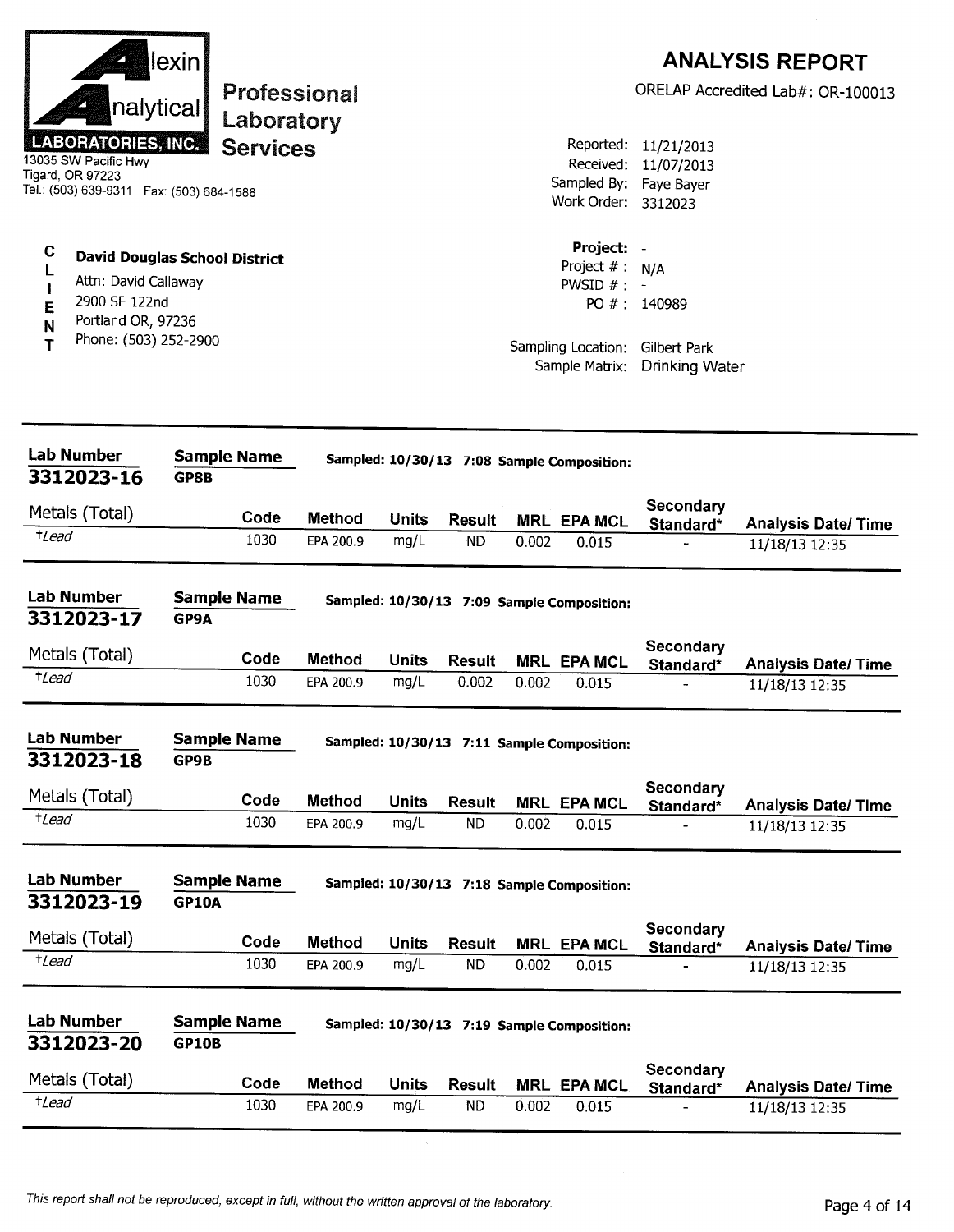| nalytical<br><b>LABORATORIES, INC.</b><br>13035 SW Pacific Hwy<br>Tigard, OR 97223<br>Tel.: (503) 639-9311  Fax: (503) 684-1588 | lexin<br>Professional<br>Laboratory<br><b>Services</b> |                            |                      |                            |       | Reported:<br>Received:<br>Work Order: 3312023                   | 11/21/2013<br>11/07/2013<br>Sampled By: Faye Bayer | <b>ANALYSIS REPORT</b><br>ORELAP Accredited Lab#: OR-100013 |
|---------------------------------------------------------------------------------------------------------------------------------|--------------------------------------------------------|----------------------------|----------------------|----------------------------|-------|-----------------------------------------------------------------|----------------------------------------------------|-------------------------------------------------------------|
| С<br>L<br>Attn: David Callaway<br>1<br>2900 SE 122nd<br>E<br>Portland OR, 97236<br>N<br>Phone: (503) 252-2900<br>Т              | <b>David Douglas School District</b>                   |                            |                      |                            |       | Project: -<br>Project #:<br>PWSID $# : -$<br>Sampling Location: | N/A<br>PO #: 140989<br>Gilbert Park                |                                                             |
|                                                                                                                                 |                                                        |                            |                      |                            |       | Sample Matrix:                                                  | <b>Drinking Water</b>                              |                                                             |
| <b>Lab Number</b><br>3312023-16                                                                                                 | <b>Sample Name</b><br>GP8B                             |                            |                      |                            |       | Sampled: 10/30/13 7:08 Sample Composition:                      |                                                    |                                                             |
| Metals (Total)                                                                                                                  |                                                        |                            |                      |                            |       |                                                                 | Secondary                                          |                                                             |
| $t$ Lead                                                                                                                        | Code<br>1030                                           | <b>Method</b><br>EPA 200.9 | <b>Units</b><br>mg/L | <b>Result</b><br><b>ND</b> | 0.002 | <b>MRL EPA MCL</b><br>0.015                                     | Standard*                                          | <b>Analysis Date/Time</b><br>11/18/13 12:35                 |
| <b>Lab Number</b><br>3312023-17<br>Metals (Total)                                                                               | <b>Sample Name</b><br>GP9A                             |                            |                      |                            |       | Sampled: 10/30/13 7:09 Sample Composition:                      | Secondary                                          |                                                             |
| <i>tLead</i>                                                                                                                    | Code<br>1030                                           | <b>Method</b>              | Units<br>mg/L        | <b>Result</b><br>0.002     |       | <b>MRL EPA MCL</b>                                              | Standard*                                          | <b>Analysis Date/ Time</b>                                  |
|                                                                                                                                 |                                                        | EPA 200.9                  |                      |                            | 0.002 | 0.015                                                           |                                                    | 11/18/13 12:35                                              |
| <b>Lab Number</b><br>3312023-18                                                                                                 | <b>Sample Name</b><br>GP9B                             |                            |                      |                            |       | Sampled: 10/30/13 7:11 Sample Composition:                      |                                                    |                                                             |
| Metals (Total)                                                                                                                  | Code                                                   | <b>Method</b>              | <b>Units</b>         | <b>Result</b>              |       | <b>MRL EPA MCL</b>                                              | Secondary<br>Standard*                             | <b>Analysis Date/ Time</b>                                  |
| $t$ Lead                                                                                                                        | 1030                                                   | EPA 200.9                  | mg/L                 | <b>ND</b>                  | 0.002 | 0.015                                                           |                                                    | 11/18/13 12:35                                              |
| <b>Lab Number</b><br>3312023-19                                                                                                 | <b>Sample Name</b><br><b>GP10A</b>                     |                            |                      |                            |       | Sampled: 10/30/13 7:18 Sample Composition:                      |                                                    |                                                             |
| Metals (Total)                                                                                                                  | Code                                                   | <b>Method</b>              | <b>Units</b>         | <b>Result</b>              |       | <b>MRL EPA MCL</b>                                              | Secondary                                          |                                                             |
| $t$ Lead                                                                                                                        | 1030                                                   | EPA 200.9                  | mg/L                 | ND                         | 0.002 | 0.015                                                           | Standard*                                          | <b>Analysis Date/Time</b><br>11/18/13 12:35                 |
| <b>Lab Number</b><br>3312023-20                                                                                                 | <b>Sample Name</b><br><b>GP10B</b>                     |                            |                      |                            |       | Sampled: 10/30/13 7:19 Sample Composition:                      |                                                    |                                                             |
| Metals (Total)                                                                                                                  | Code                                                   | Method                     | <b>Units</b>         | <b>Result</b>              |       | <b>MRL EPA MCL</b>                                              | Secondary<br>Standard*                             | <b>Analysis Date/ Time</b>                                  |
| $t$ Lead                                                                                                                        | 1030                                                   | EPA 200.9                  | mg/L                 | <b>ND</b>                  | 0.002 | 0.015                                                           |                                                    | 11/18/13 12:35                                              |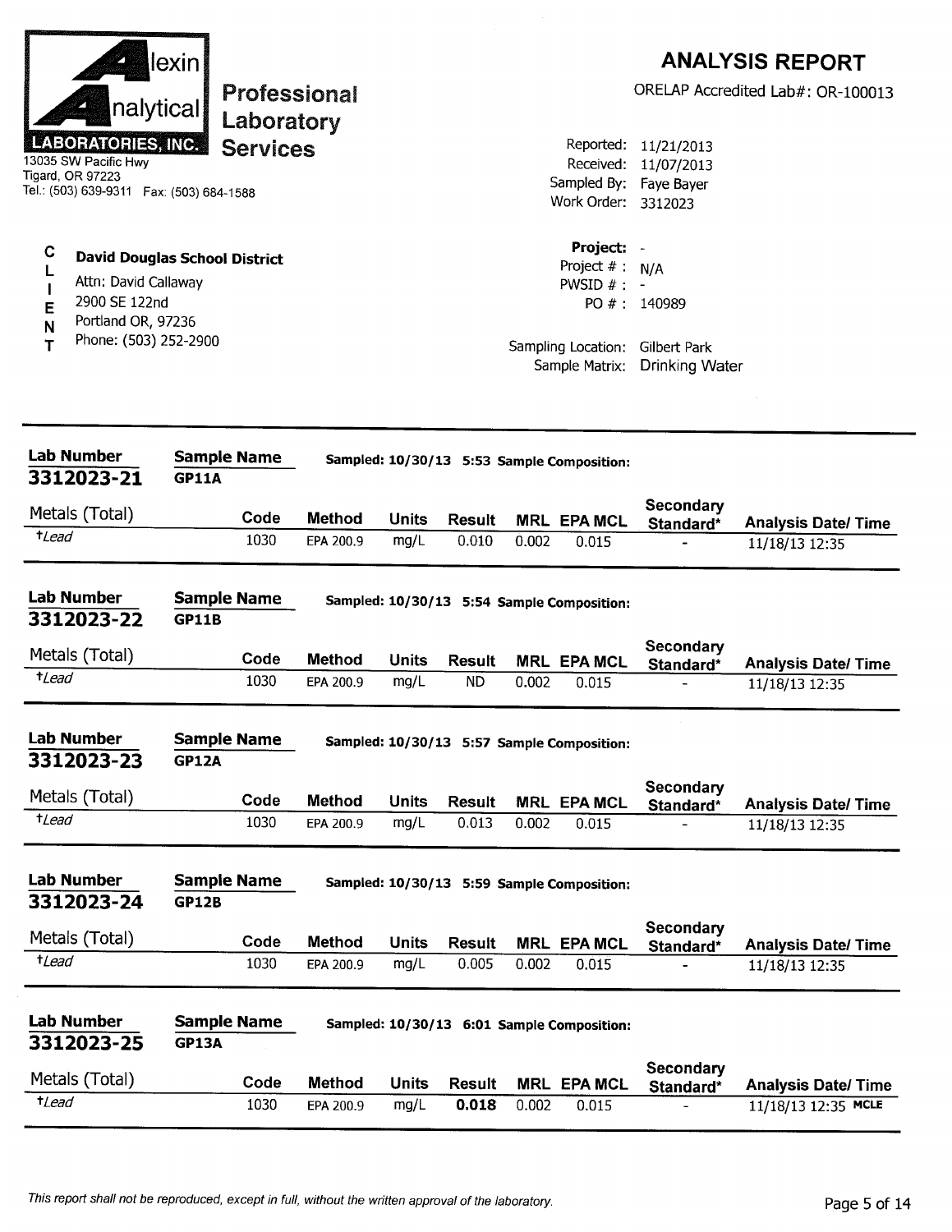| nalytical<br><b>LABORATORIES, INC.</b><br>13035 SW Pacific Hwy<br>Tigard, OR 97223<br>Tel.: (503) 639-9311  Fax: (503) 684-1588                  | lexin                              | Professional<br>Laboratory<br><b>Services</b> |                            |               |                            |       | Sampled By: Faye Bayer<br>Work Order: 3312023                             | Reported: 11/21/2013<br>Received: 11/07/2013                             | <b>ANALYSIS REPORT</b><br>ORELAP Accredited Lab#: OR-100013 |
|--------------------------------------------------------------------------------------------------------------------------------------------------|------------------------------------|-----------------------------------------------|----------------------------|---------------|----------------------------|-------|---------------------------------------------------------------------------|--------------------------------------------------------------------------|-------------------------------------------------------------|
| C<br><b>David Douglas School District</b><br>Attn: David Callaway<br>2900 SE 122nd<br>E<br>Portland OR, 97236<br>N<br>Phone: (503) 252-2900<br>т |                                    |                                               |                            |               |                            |       | Project: -<br>Project $# : N/A$<br>PWSID $#$ : -<br>Sample Matrix:        | PO #: 140989<br>Sampling Location: Gilbert Park<br><b>Drinking Water</b> |                                                             |
| <b>Lab Number</b><br>3312023-21                                                                                                                  | <b>Sample Name</b><br><b>GP11A</b> |                                               |                            |               |                            |       | Sampled: 10/30/13 5:53 Sample Composition:                                |                                                                          |                                                             |
| Metals (Total)                                                                                                                                   |                                    | Code                                          | <b>Method</b>              | <b>Units</b>  | <b>Result</b>              |       | <b>MRL EPA MCL</b>                                                        | Secondary<br>Standard*                                                   | <b>Analysis Date/Time</b>                                   |
| <i>tLead</i>                                                                                                                                     |                                    | 1030                                          | EPA 200.9                  | mg/L          | 0.010                      | 0.002 | 0.015                                                                     |                                                                          | 11/18/13 12:35                                              |
| <b>Lab Number</b><br>3312023-22<br>Metals (Total)<br><i>t</i> Lead                                                                               | <b>Sample Name</b><br><b>GP11B</b> | Code<br>1030                                  | <b>Method</b><br>EPA 200.9 | Units<br>mg/L | <b>Result</b><br><b>ND</b> | 0.002 | Sampled: 10/30/13 5:54 Sample Composition:<br><b>MRL EPA MCL</b><br>0.015 | <b>Secondary</b><br>Standard*                                            | <b>Analysis Date/ Time</b><br>11/18/13 12:35                |
| <b>Lab Number</b><br>3312023-23                                                                                                                  | <b>Sample Name</b><br><b>GP12A</b> |                                               |                            |               |                            |       | Sampled: 10/30/13 5:57 Sample Composition:                                |                                                                          |                                                             |
| Metals (Total)                                                                                                                                   |                                    | Code                                          | <b>Method</b>              | <b>Units</b>  | <b>Result</b>              |       | <b>MRL EPA MCL</b>                                                        | Secondary<br>Standard*                                                   | <b>Analysis Date/ Time</b>                                  |
| $t$ <i>Lead</i>                                                                                                                                  |                                    | 1030                                          | EPA 200.9                  | mg/L          | 0.013                      | 0.002 | 0.015                                                                     |                                                                          | 11/18/13 12:35                                              |
| <b>Lab Number</b><br>3312023-24                                                                                                                  | <b>Sample Name</b><br><b>GP12B</b> |                                               |                            |               |                            |       | Sampled: 10/30/13 5:59 Sample Composition:                                |                                                                          |                                                             |
| Metals (Total)                                                                                                                                   |                                    | Code                                          | <b>Method</b>              | <b>Units</b>  | <b>Result</b>              |       | <b>MRL EPA MCL</b>                                                        | Secondary<br>Standard*                                                   | <b>Analysis Date/ Time</b>                                  |
| $t$ <i>Lead</i>                                                                                                                                  |                                    | 1030                                          | EPA 200.9                  | mg/L          | 0.005                      | 0.002 | 0.015                                                                     |                                                                          | 11/18/13 12:35                                              |
| <b>Lab Number</b><br>3312023-25                                                                                                                  | <b>GP13A</b>                       | <b>Sample Name</b>                            |                            |               |                            |       | Sampled: 10/30/13 6:01 Sample Composition:                                | <b>Secondary</b>                                                         |                                                             |
| Metals (Total)                                                                                                                                   |                                    | Code                                          | <b>Method</b>              | <b>Units</b>  | <b>Result</b>              |       | <b>MRL EPA MCL</b>                                                        | Standard*                                                                | <b>Analysis Date/Time</b>                                   |
| $t$ <i>Lead</i>                                                                                                                                  |                                    | 1030                                          | EPA 200.9                  | mg/L          | 0.018                      | 0.002 | 0.015                                                                     |                                                                          | 11/18/13 12:35 MCLE                                         |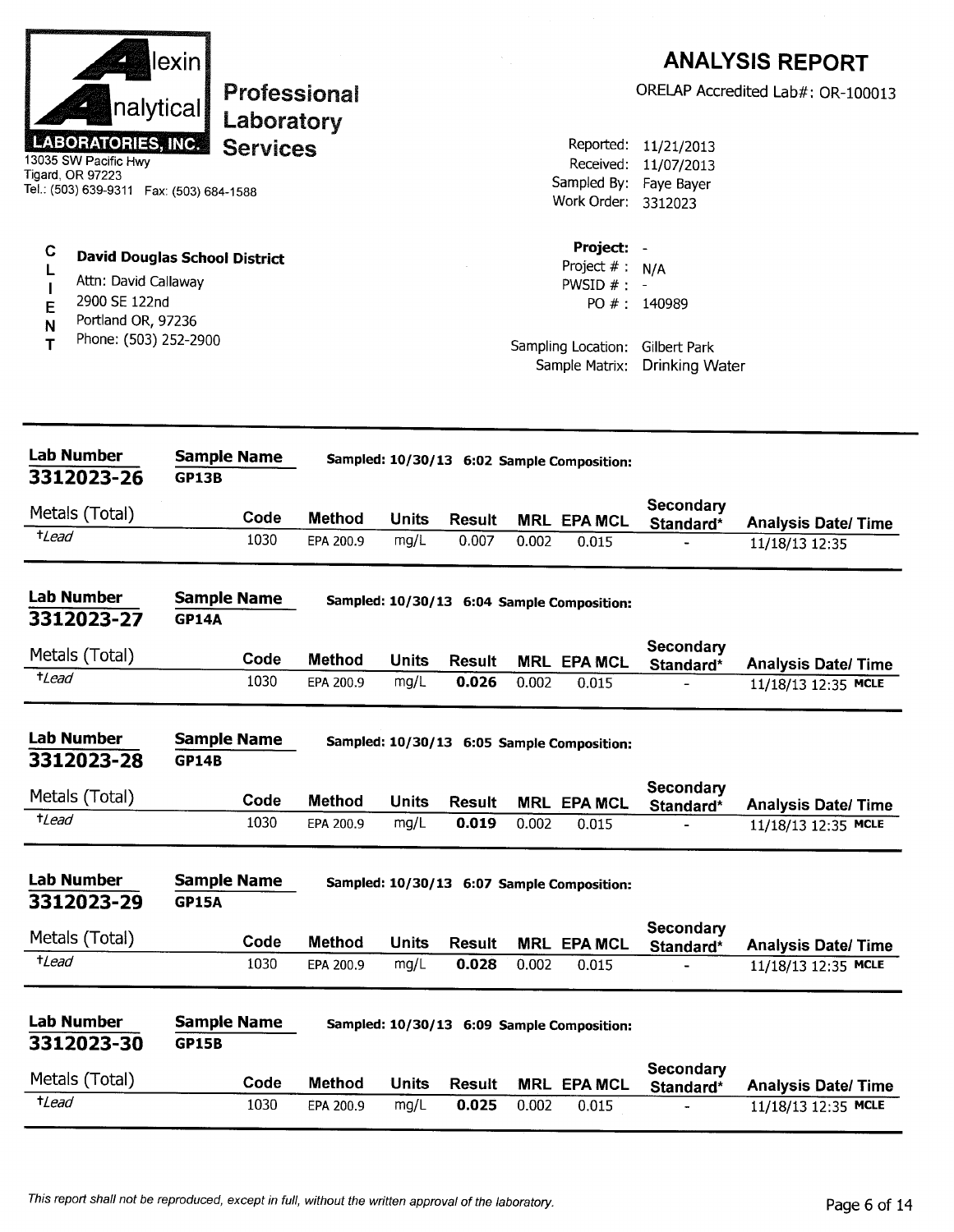|                 |                                                                                                                           | lexin                              |                               |               |              |               |       |                                                  |                                                   | <b>ANALYSIS REPORT</b>                            |
|-----------------|---------------------------------------------------------------------------------------------------------------------------|------------------------------------|-------------------------------|---------------|--------------|---------------|-------|--------------------------------------------------|---------------------------------------------------|---------------------------------------------------|
|                 | nalytical                                                                                                                 |                                    |                               | Professional  |              |               |       |                                                  |                                                   | ORELAP Accredited Lab#: OR-100013                 |
|                 | <b>LABORATORIES, INC.</b><br>13035 SW Pacific Hwy<br><b>Tigard, OR 97223</b><br>Tel.: (503) 639-9311  Fax: (503) 684-1588 |                                    | Laboratory<br><b>Services</b> |               |              |               |       | Sampled By: Faye Bayer<br>Work Order: 3312023    | Reported: 11/21/2013<br>Received: 11/07/2013      |                                                   |
| С               | <b>David Douglas School District</b><br>Attn: David Callaway                                                              |                                    |                               |               |              |               |       | Project: -<br>Project $# : N/A$<br>PWSID $# : -$ |                                                   |                                                   |
| Е<br>N          | 2900 SE 122nd<br>Portland OR, 97236                                                                                       |                                    |                               |               |              |               |       |                                                  | PO #: 140989                                      |                                                   |
| т               | Phone: (503) 252-2900                                                                                                     |                                    |                               |               |              |               |       | Sample Matrix:                                   | Sampling Location: Gilbert Park<br>Drinking Water |                                                   |
|                 | <b>Lab Number</b><br>3312023-26                                                                                           | <b>Sample Name</b><br><b>GP13B</b> |                               |               |              |               |       | Sampled: 10/30/13 6:02 Sample Composition:       |                                                   |                                                   |
|                 | Metals (Total)                                                                                                            |                                    | Code                          | <b>Method</b> | <b>Units</b> | <b>Result</b> |       |                                                  | Secondary                                         |                                                   |
| $t$ Lead        |                                                                                                                           |                                    | 1030                          | EPA 200.9     | mg/L         | 0.007         | 0.002 | <b>MRL EPA MCL</b><br>0.015                      | Standard*                                         | <b>Analysis Date/ Time</b><br>11/18/13 12:35      |
|                 | <b>Lab Number</b><br>3312023-27                                                                                           | <b>Sample Name</b><br><b>GP14A</b> |                               |               |              |               |       | Sampled: 10/30/13 6:04 Sample Composition:       |                                                   |                                                   |
|                 | Metals (Total)                                                                                                            |                                    | Code                          | <b>Method</b> | <b>Units</b> | Result        |       | <b>MRL EPA MCL</b>                               | Secondary                                         |                                                   |
| $t$ Lead        |                                                                                                                           |                                    | 1030                          | EPA 200.9     | mg/L         | 0.026         | 0.002 | 0.015                                            | Standard*                                         | <b>Analysis Date/ Time</b><br>11/18/13 12:35 MCLE |
|                 | Lab Number<br>3312023-28                                                                                                  | <b>Sample Name</b><br><b>GP14B</b> |                               |               |              |               |       | Sampled: 10/30/13 6:05 Sample Composition:       |                                                   |                                                   |
|                 | Metals (Total)                                                                                                            |                                    | Code                          | <b>Method</b> | <b>Units</b> | <b>Result</b> |       | <b>MRL EPA MCL</b>                               | Secondary                                         |                                                   |
| $t$ Lead        |                                                                                                                           |                                    | 1030                          | EPA 200.9     | mg/L         | 0.019         | 0.002 | 0.015                                            | Standard*                                         | <b>Analysis Date/ Time</b><br>11/18/13 12:35 MCLE |
|                 | <b>Lab Number</b><br>3312023-29                                                                                           | <b>Sample Name</b><br><b>GP15A</b> |                               |               |              |               |       | Sampled: 10/30/13 6:07 Sample Composition:       |                                                   |                                                   |
|                 | Metals (Total)                                                                                                            |                                    | Code                          | <b>Method</b> | <b>Units</b> | <b>Result</b> |       | <b>MRL EPA MCL</b>                               | <b>Secondary</b>                                  | <b>Analysis Date/Time</b>                         |
| $t$ <i>Lead</i> |                                                                                                                           |                                    | 1030                          | EPA 200.9     | mg/L         | 0.028         | 0.002 | 0.015                                            | Standard*                                         | 11/18/13 12:35 MCLE                               |
|                 | Lab Number<br>3312023-30                                                                                                  | <b>Sample Name</b><br><b>GP15B</b> |                               |               |              |               |       | Sampled: 10/30/13 6:09 Sample Composition:       | Secondary                                         |                                                   |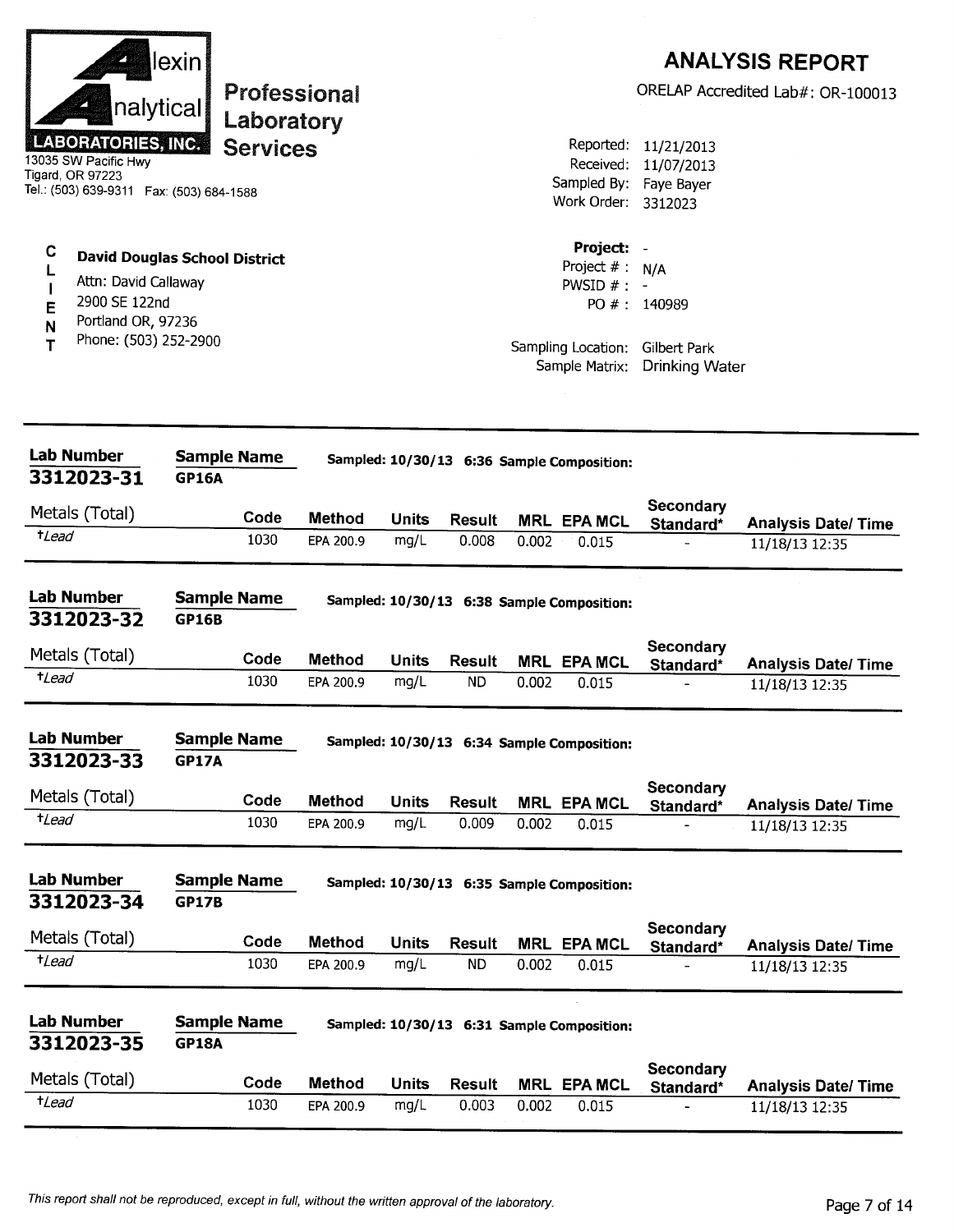| nalytical<br><b>LABORATORIES, INC.</b><br>13035 SW Pacific Hwy<br>Tigard, OR 97223<br>Tel.: (503) 639-9311  Fax: (503) 684-1588 | lexin                                | Laboratory<br><b>Services</b> | Professional               |                      |                            |       | Reported:<br>Received:<br>Sampled By:<br>Work Order: 3312023     | 11/21/2013<br>11/07/2013<br>Faye Bayer                 | <b>ANALYSIS REPORT</b><br>ORELAP Accredited Lab#: OR-100013 |
|---------------------------------------------------------------------------------------------------------------------------------|--------------------------------------|-------------------------------|----------------------------|----------------------|----------------------------|-------|------------------------------------------------------------------|--------------------------------------------------------|-------------------------------------------------------------|
| C<br>L<br>Attn: David Callaway<br>2900 SE 122nd<br>E<br>Portland OR, 97236<br>N<br>Phone: (503) 252-2900<br>Т                   | <b>David Douglas School District</b> |                               |                            |                      |                            |       | Project: -<br>Project $#:$<br>PWSID $# : -$                      | N/A<br>PO #: 140989<br>Sampling Location: Gilbert Park |                                                             |
|                                                                                                                                 |                                      |                               |                            |                      |                            |       | Sample Matrix:                                                   | <b>Drinking Water</b>                                  |                                                             |
| <b>Lab Number</b><br>3312023-31                                                                                                 | <b>Sample Name</b><br><b>GP16A</b>   |                               |                            |                      |                            |       | Sampled: 10/30/13 6:36 Sample Composition:                       |                                                        |                                                             |
| Metals (Total)                                                                                                                  |                                      | Code                          |                            |                      |                            |       |                                                                  | Secondary                                              |                                                             |
| <i><b>+Lead</b></i>                                                                                                             |                                      | 1030                          | <b>Method</b><br>EPA 200.9 | <b>Units</b><br>mg/L | <b>Result</b><br>0.008     | 0.002 | <b>MRL EPA MCL</b><br>0.015                                      | Standard*                                              | <b>Analysis Date/ Time</b><br>11/18/13 12:35                |
| <b>Lab Number</b><br>3312023-32<br>Metals (Total)<br>$t$ Lead                                                                   | <b>Sample Name</b><br><b>GP16B</b>   | Code                          | <b>Method</b>              | Units                | <b>Result</b>              |       | Sampled: 10/30/13 6:38 Sample Composition:<br><b>MRL EPA MCL</b> | Secondary                                              |                                                             |
|                                                                                                                                 |                                      | 1030                          | EPA 200.9                  | mg/L                 | <b>ND</b>                  | 0.002 | 0.015                                                            | Standard*                                              | <b>Analysis Date/Time</b><br>11/18/13 12:35                 |
| <b>Lab Number</b><br>3312023-33                                                                                                 | <b>Sample Name</b><br><b>GP17A</b>   |                               |                            |                      |                            |       | Sampled: 10/30/13 6:34 Sample Composition:                       |                                                        |                                                             |
| Metals (Total)                                                                                                                  |                                      | Code                          | <b>Method</b>              |                      |                            |       |                                                                  | Secondary                                              |                                                             |
| $t$ Lead                                                                                                                        |                                      | 1030                          | EPA 200.9                  | <b>Units</b><br>mg/L | <b>Result</b><br>0.009     | 0.002 | <b>MRL EPA MCL</b><br>0.015                                      | Standard*                                              | <b>Analysis Date/ Time</b><br>11/18/13 12:35                |
| <b>Lab Number</b><br>3312023-34                                                                                                 | <b>Sample Name</b><br><b>GP17B</b>   |                               |                            |                      |                            |       | Sampled: 10/30/13 6:35 Sample Composition:                       |                                                        |                                                             |
|                                                                                                                                 |                                      |                               |                            |                      |                            |       |                                                                  | Secondary                                              |                                                             |
| Metals (Total)<br>$t$ <i>Lead</i>                                                                                               |                                      | Code<br>1030                  | <b>Method</b><br>EPA 200.9 | <b>Units</b><br>mg/L | <b>Result</b><br><b>ND</b> | 0.002 | <b>MRL EPA MCL</b><br>0.015                                      | Standard*                                              | <b>Analysis Date/ Time</b><br>11/18/13 12:35                |
| <b>Lab Number</b><br>3312023-35                                                                                                 | <b>Sample Name</b><br><b>GP18A</b>   |                               |                            |                      |                            |       | Sampled: 10/30/13 6:31 Sample Composition:                       |                                                        |                                                             |
| Metals (Total)                                                                                                                  |                                      | Code                          | <b>Method</b>              | <b>Units</b>         | <b>Result</b>              |       | <b>MRL EPA MCL</b>                                               | Secondary<br>Standard*                                 | <b>Analysis Date/ Time</b>                                  |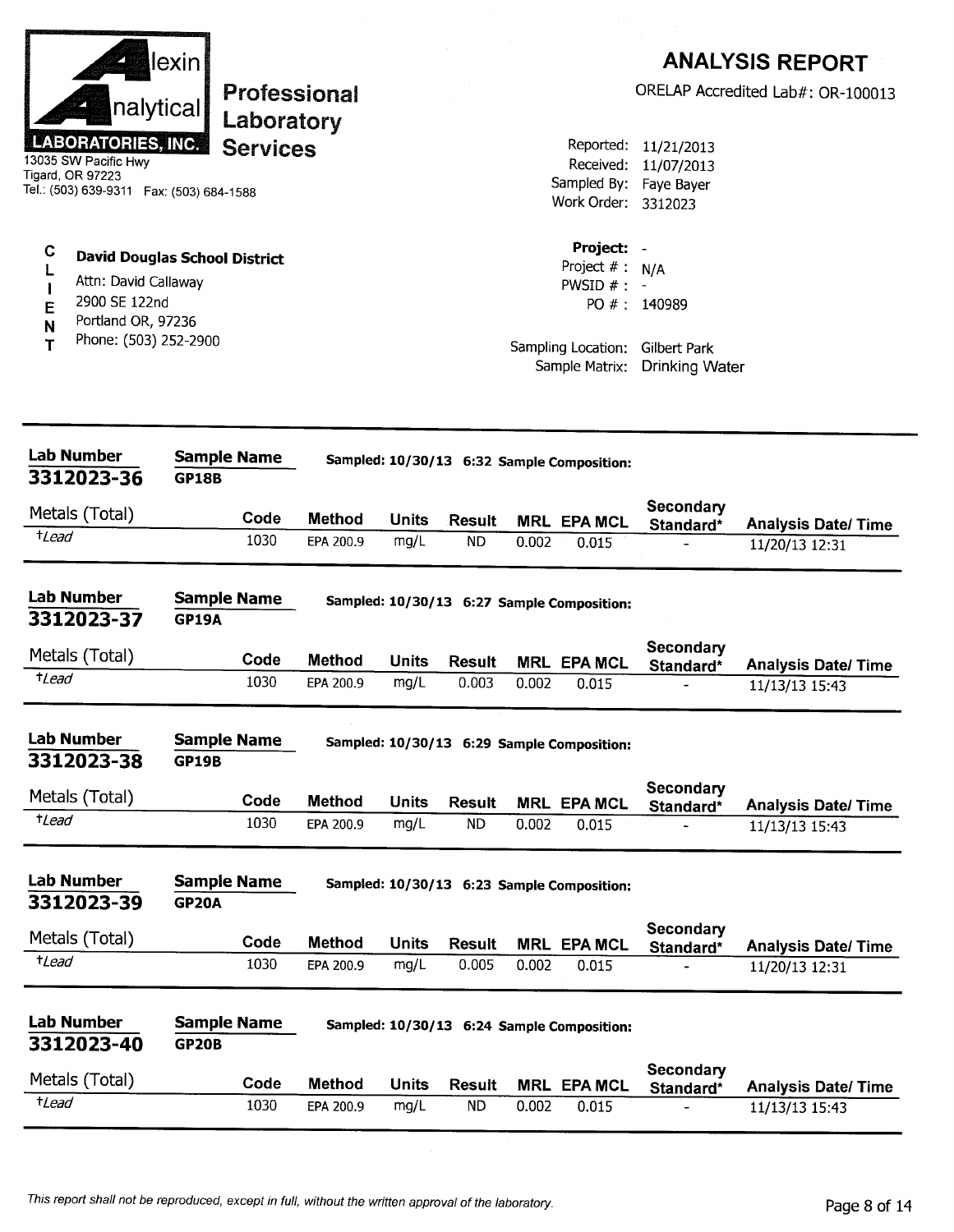|                                                                                                                   | lexinl                               |               |              |               |       |                                              |                                                                        | <b>ANALYSIS REPORT</b>                       |
|-------------------------------------------------------------------------------------------------------------------|--------------------------------------|---------------|--------------|---------------|-------|----------------------------------------------|------------------------------------------------------------------------|----------------------------------------------|
| nalytical                                                                                                         | <b>Professional</b><br>Laboratory    |               |              |               |       |                                              |                                                                        | ORELAP Accredited Lab#: OR-100013            |
| <b>ABORATORIES, INC.</b><br>13035 SW Pacific Hwy<br>Tigard, OR 97223<br>Tel.: (503) 639-9311  Fax: (503) 684-1588 | <b>Services</b>                      |               |              |               |       | Work Order: 3312023                          | Reported: 11/21/2013<br>Received: 11/07/2013<br>Sampled By: Faye Bayer |                                              |
| C<br>L<br>Attn: David Callaway<br>2900 SE 122nd<br>E<br>Portland OR, 97236<br>N                                   | <b>David Douglas School District</b> |               |              |               |       | Project:<br>Project $# : N/A$<br>PWSID $# :$ | PO #: 140989                                                           |                                              |
| Phone: (503) 252-2900<br>т                                                                                        |                                      |               |              |               |       | Sample Matrix:                               | Sampling Location: Gilbert Park<br>Drinking Water                      |                                              |
| <b>Lab Number</b>                                                                                                 | <b>Sample Name</b>                   |               |              |               |       |                                              |                                                                        |                                              |
| 3312023-36                                                                                                        | <b>GP18B</b>                         |               |              |               |       | Sampled: 10/30/13 6:32 Sample Composition:   |                                                                        |                                              |
| Metals (Total)                                                                                                    | Code                                 | <b>Method</b> | <b>Units</b> | Result        |       | <b>MRL EPA MCL</b>                           | Secondary<br>Standard*                                                 | <b>Analysis Date/Time</b>                    |
| $t$ <i>Lead</i>                                                                                                   | 1030                                 | EPA 200.9     | mg/L         | ND            | 0.002 | 0.015                                        |                                                                        | 11/20/13 12:31                               |
| <b>Lab Number</b><br>3312023-37                                                                                   | <b>Sample Name</b><br><b>GP19A</b>   |               |              |               |       | Sampled: 10/30/13 6:27 Sample Composition:   |                                                                        |                                              |
| Metals (Total)                                                                                                    | Code                                 | <b>Method</b> | <b>Units</b> | <b>Result</b> |       | <b>MRL EPA MCL</b>                           | <b>Secondary</b>                                                       |                                              |
| $t$ Lead                                                                                                          | 1030                                 | EPA 200.9     | mg/L         | 0.003         | 0.002 | 0.015                                        | Standard*                                                              | <b>Analysis Date/ Time</b><br>11/13/13 15:43 |
| Lab Number<br>3312023-38                                                                                          | Sample Name<br><b>GP19B</b>          |               |              |               |       | Sampled: 10/30/13 6:29 Sample Composition:   |                                                                        |                                              |
| Metals (Total)                                                                                                    | Code                                 | <b>Method</b> | <b>Units</b> | <b>Result</b> |       | <b>MRL EPA MCL</b>                           | Secondary                                                              |                                              |
| $t$ <i>Lead</i>                                                                                                   | 1030                                 | EPA 200.9     | mg/L         | <b>ND</b>     | 0.002 | 0.015                                        | Standard*                                                              | <b>Analysis Date/ Time</b><br>11/13/13 15:43 |
| <b>Lab Number</b><br>3312023-39                                                                                   | <b>Sample Name</b><br><b>GP20A</b>   |               |              |               |       | Sampled: 10/30/13 6:23 Sample Composition:   |                                                                        |                                              |
| Metals (Total)                                                                                                    | Code                                 | <b>Method</b> | <b>Units</b> | <b>Result</b> |       | <b>MRL EPA MCL</b>                           | Secondary                                                              | <b>Analysis Date/ Time</b>                   |
| $t$ <i>Lead</i>                                                                                                   | 1030                                 | EPA 200.9     | mg/L         | 0.005         | 0.002 | 0.015                                        | Standard*                                                              | 11/20/13 12:31                               |
| <b>Lab Number</b><br>3312023-40                                                                                   | <b>Sample Name</b><br><b>GP20B</b>   |               |              |               |       | Sampled: 10/30/13 6:24 Sample Composition:   |                                                                        |                                              |
| Metals (Total)                                                                                                    | Code                                 | <b>Method</b> | <b>Units</b> | <b>Result</b> |       | <b>MRL EPA MCL</b>                           | Secondary<br>Standard*                                                 | <b>Analysis Date/Time</b>                    |
| $t$ <i>Lead</i>                                                                                                   | 1030                                 | EPA 200.9     | mg/L         | <b>ND</b>     | 0.002 | 0.015                                        |                                                                        | $11/13/13$ 15:43                             |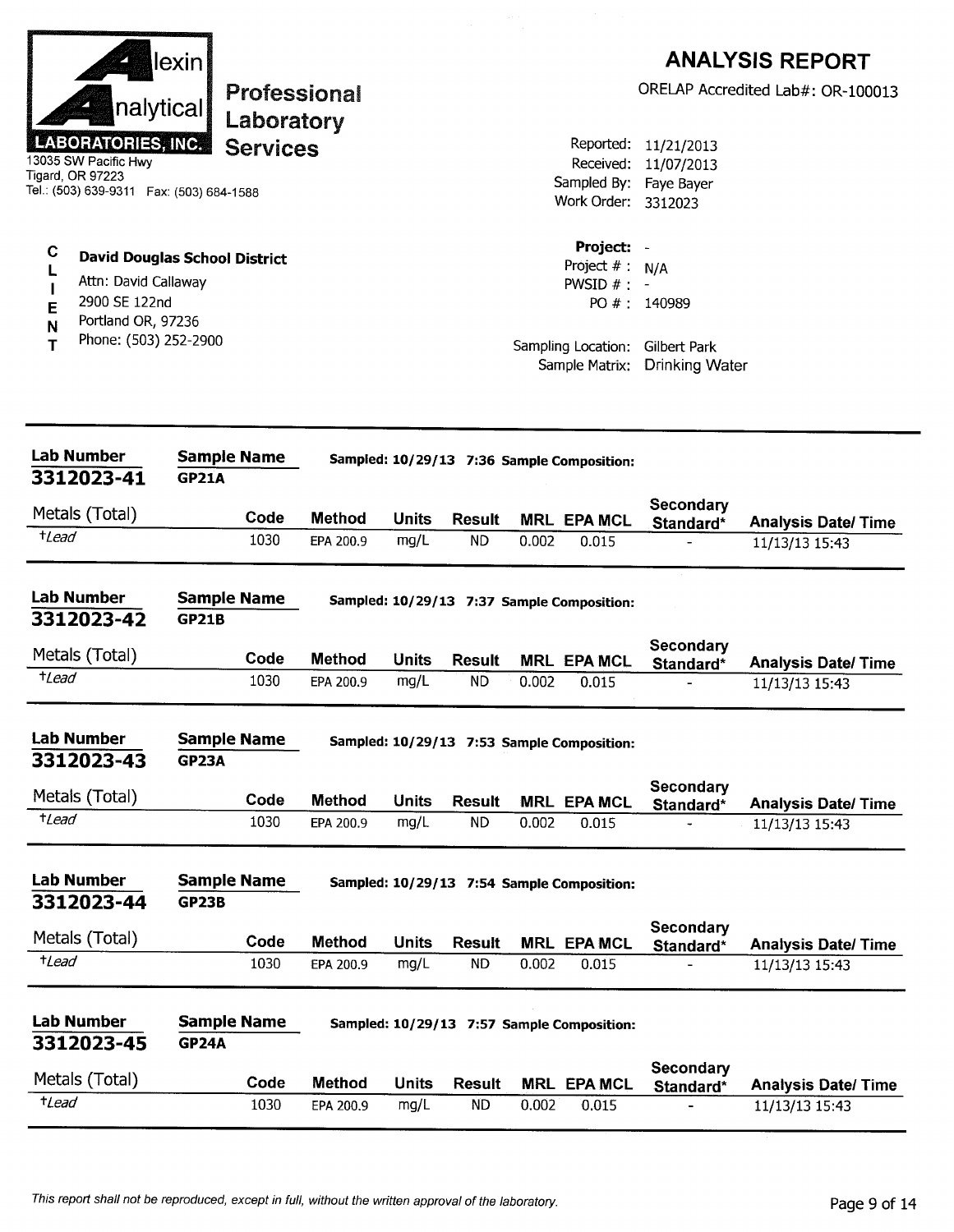|                                                                                                                    | lexin                              |                 |                     |              |               |       |                                                  |                                                                  | <b>ANALYSIS REPORT</b>                       |
|--------------------------------------------------------------------------------------------------------------------|------------------------------------|-----------------|---------------------|--------------|---------------|-------|--------------------------------------------------|------------------------------------------------------------------|----------------------------------------------|
| nalytical                                                                                                          |                                    | Laboratory      | <b>Professional</b> |              |               |       |                                                  |                                                                  | ORELAP Accredited Lab#: OR-100013            |
| <b>LABORATORIES, INC.</b><br>13035 SW Pacific Hwy<br>Tigard, OR 97223<br>Tel.: (503) 639-9311  Fax: (503) 684-1588 |                                    | <b>Services</b> |                     |              |               |       | Received:<br>Work Order: 3312023                 | Reported: 11/21/2013<br>11/07/2013<br>Sampled By: Faye Bayer     |                                              |
| C<br><b>David Douglas School District</b><br>Attn: David Callaway<br>2900 SE 122nd<br>E<br>Portland OR, 97236<br>N |                                    |                 |                     |              |               |       | Project: -<br>Project $# : N/A$<br>PWSID $# : -$ | PO #: 140989                                                     |                                              |
| Phone: (503) 252-2900<br>т                                                                                         |                                    |                 |                     |              |               |       |                                                  | Sampling Location: Gilbert Park<br>Sample Matrix: Drinking Water |                                              |
| <b>Lab Number</b><br>3312023-41                                                                                    | <b>Sample Name</b><br><b>GP21A</b> |                 |                     |              |               |       | Sampled: 10/29/13 7:36 Sample Composition:       |                                                                  |                                              |
| Metals (Total)                                                                                                     |                                    | Code            | <b>Method</b>       | <b>Units</b> | <b>Result</b> |       | <b>MRL EPA MCL</b>                               | <b>Secondary</b>                                                 |                                              |
| <i>t</i> Lead                                                                                                      |                                    | 1030            | EPA 200.9           | mg/L         | <b>ND</b>     | 0.002 | 0.015                                            | Standard*                                                        | <b>Analysis Date/ Time</b><br>11/13/13 15:43 |
| <b>Lab Number</b><br>3312023-42                                                                                    | <b>Sample Name</b><br><b>GP21B</b> |                 |                     |              |               |       | Sampled: 10/29/13 7:37 Sample Composition:       |                                                                  |                                              |
| Metals (Total)                                                                                                     |                                    | Code            | <b>Method</b>       | <b>Units</b> | <b>Result</b> |       | <b>MRL EPA MCL</b>                               | Secondary<br>Standard*                                           | <b>Analysis Date/Time</b>                    |
| $t$ Lead                                                                                                           |                                    | 1030            | EPA 200.9           | mg/L         | <b>ND</b>     | 0.002 | 0.015                                            |                                                                  | 11/13/13 15:43                               |
| <b>Lab Number</b><br>3312023-43                                                                                    | <b>Sample Name</b><br><b>GP23A</b> |                 |                     |              |               |       | Sampled: 10/29/13 7:53 Sample Composition:       |                                                                  |                                              |
| Metals (Total)                                                                                                     |                                    | Code            | <b>Method</b>       | <b>Units</b> | <b>Result</b> |       | <b>MRL EPA MCL</b>                               | <b>Secondary</b><br>Standard*                                    | <b>Analysis Date/Time</b>                    |
| $t$ <i>Lead</i>                                                                                                    |                                    | 1030            | EPA 200.9           | mg/L         | <b>ND</b>     | 0.002 | 0.015                                            |                                                                  | 11/13/13 15:43                               |
| <b>Lab Number</b><br>3312023-44                                                                                    | <b>Sample Name</b><br><b>GP23B</b> |                 |                     |              |               |       | Sampled: 10/29/13 7:54 Sample Composition:       |                                                                  |                                              |
| Metals (Total)                                                                                                     |                                    | Code            | <b>Method</b>       | <b>Units</b> | <b>Result</b> |       | <b>MRL EPA MCL</b>                               | Secondary<br>Standard*                                           | <b>Analysis Date/Time</b>                    |
| $t$ Lead                                                                                                           |                                    | 1030            | EPA 200.9           | mg/L         | <b>ND</b>     | 0.002 | 0.015                                            |                                                                  | 11/13/13 15:43                               |
| <b>Lab Number</b><br>3312023-45                                                                                    | <b>Sample Name</b><br><b>GP24A</b> |                 |                     |              |               |       | Sampled: 10/29/13 7:57 Sample Composition:       |                                                                  |                                              |
| Metals (Total)                                                                                                     |                                    | Code            | <b>Method</b>       | <b>Units</b> | <b>Result</b> |       | <b>MRL EPA MCL</b>                               | Secondary<br>Standard*                                           | <b>Analysis Date/ Time</b>                   |
| $t$ Lead                                                                                                           |                                    | 1030            | EPA 200.9           | mg/L         | <b>ND</b>     | 0.002 | 0.015                                            |                                                                  | 11/13/13 15:43                               |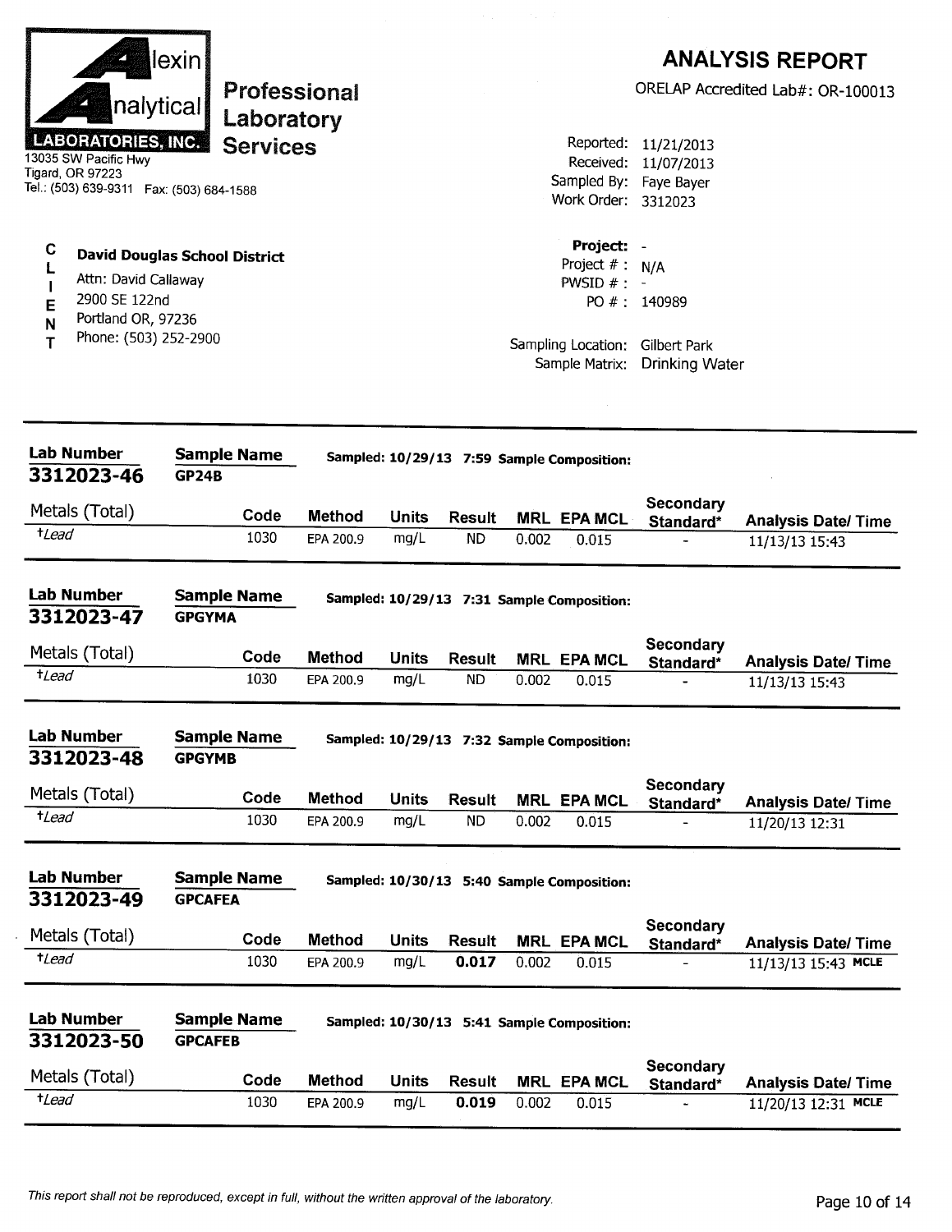| nalytical<br><b>LABORATORIES, INC.</b><br>13035 SW Pacific Hwy<br>Tigard, OR 97223<br>Tel.: (503) 639-9311  Fax: (503) 684-1588 | lexin∶<br>Professional<br>Laboratory<br><b>Services</b> |                            |                      |                            |       | Reported:<br>Received:<br>Sampled By:<br>Work Order: 3312023              | 11/21/2013<br>11/07/2013<br>Faye Bayer                                   | <b>ANALYSIS REPORT</b><br>ORELAP Accredited Lab#: OR-100013 |
|---------------------------------------------------------------------------------------------------------------------------------|---------------------------------------------------------|----------------------------|----------------------|----------------------------|-------|---------------------------------------------------------------------------|--------------------------------------------------------------------------|-------------------------------------------------------------|
| C<br>Attn: David Callaway<br>2900 SE 122nd<br>E<br>Portland OR, 97236<br>N<br>Phone: (503) 252-2900<br>т                        | <b>David Douglas School District</b>                    |                            |                      |                            |       | Project: -<br>Project $# : N/A$<br>PWSID $# : -$<br>Sample Matrix:        | PO #: 140989<br>Sampling Location: Gilbert Park<br><b>Drinking Water</b> |                                                             |
| <b>Lab Number</b><br>3312023-46                                                                                                 | <b>Sample Name</b><br><b>GP24B</b>                      |                            |                      |                            |       | Sampled: 10/29/13 7:59 Sample Composition:                                |                                                                          |                                                             |
| Metals (Total)                                                                                                                  | Code                                                    | <b>Method</b>              | <b>Units</b>         | <b>Result</b>              |       |                                                                           | Secondary                                                                |                                                             |
| <i>tLead</i>                                                                                                                    | 1030                                                    | EPA 200.9                  | mg/L                 | <b>ND</b>                  | 0.002 | <b>MRL EPA MCL</b><br>0.015                                               | Standard*                                                                | <b>Analysis Date/Time</b><br>11/13/13 15:43                 |
| <b>Lab Number</b><br>3312023-47<br>Metals (Total)<br><i>t</i> Lead                                                              | <b>Sample Name</b><br><b>GPGYMA</b><br>Code<br>1030     | <b>Method</b><br>EPA 200.9 | <b>Units</b><br>mg/L | <b>Result</b><br><b>ND</b> | 0.002 | Sampled: 10/29/13 7:31 Sample Composition:<br><b>MRL EPA MCL</b><br>0.015 | <b>Secondary</b><br>Standard*                                            | <b>Analysis Date/ Time</b><br>11/13/13 15:43                |
| <b>Lab Number</b><br>3312023-48                                                                                                 | <b>Sample Name</b><br><b>GPGYMB</b>                     |                            |                      |                            |       | Sampled: 10/29/13 7:32 Sample Composition:                                |                                                                          |                                                             |
| Metals (Total)                                                                                                                  | Code                                                    | <b>Method</b>              | <b>Units</b>         | <b>Result</b>              |       | <b>MRL EPA MCL</b>                                                        | <b>Secondary</b><br>Standard*                                            | <b>Analysis Date/ Time</b>                                  |
| $t$ Lead                                                                                                                        | 1030                                                    | EPA 200.9                  | mg/L                 | <b>ND</b>                  | 0.002 | 0.015                                                                     |                                                                          | 11/20/13 12:31                                              |
| <b>Lab Number</b><br>3312023-49                                                                                                 | <b>Sample Name</b><br><b>GPCAFEA</b>                    |                            |                      |                            |       | Sampled: 10/30/13 5:40 Sample Composition:                                |                                                                          |                                                             |
| Metals (Total)                                                                                                                  | Code                                                    | <b>Method</b>              | <b>Units</b>         | <b>Result</b>              |       | <b>MRL EPA MCL</b>                                                        | <b>Secondary</b>                                                         |                                                             |
| $t$ <i>Lead</i>                                                                                                                 | 1030                                                    | EPA 200.9                  | mg/L                 | 0.017                      | 0.002 | 0.015                                                                     | Standard*                                                                | <b>Analysis Date/ Time</b><br>11/13/13 15:43 MCLE           |
| <b>Lab Number</b><br>3312023-50                                                                                                 | <b>Sample Name</b><br><b>GPCAFEB</b>                    |                            |                      |                            |       | Sampled: 10/30/13 5:41 Sample Composition:                                |                                                                          |                                                             |
| Metals (Total)                                                                                                                  | Code                                                    | Method                     | <b>Units</b>         | Result                     |       | <b>MRL EPA MCL</b>                                                        | Secondary<br>Standard*                                                   | <b>Analysis Date/Time</b>                                   |
| $t$ <i>Lead</i>                                                                                                                 |                                                         |                            |                      |                            |       |                                                                           |                                                                          |                                                             |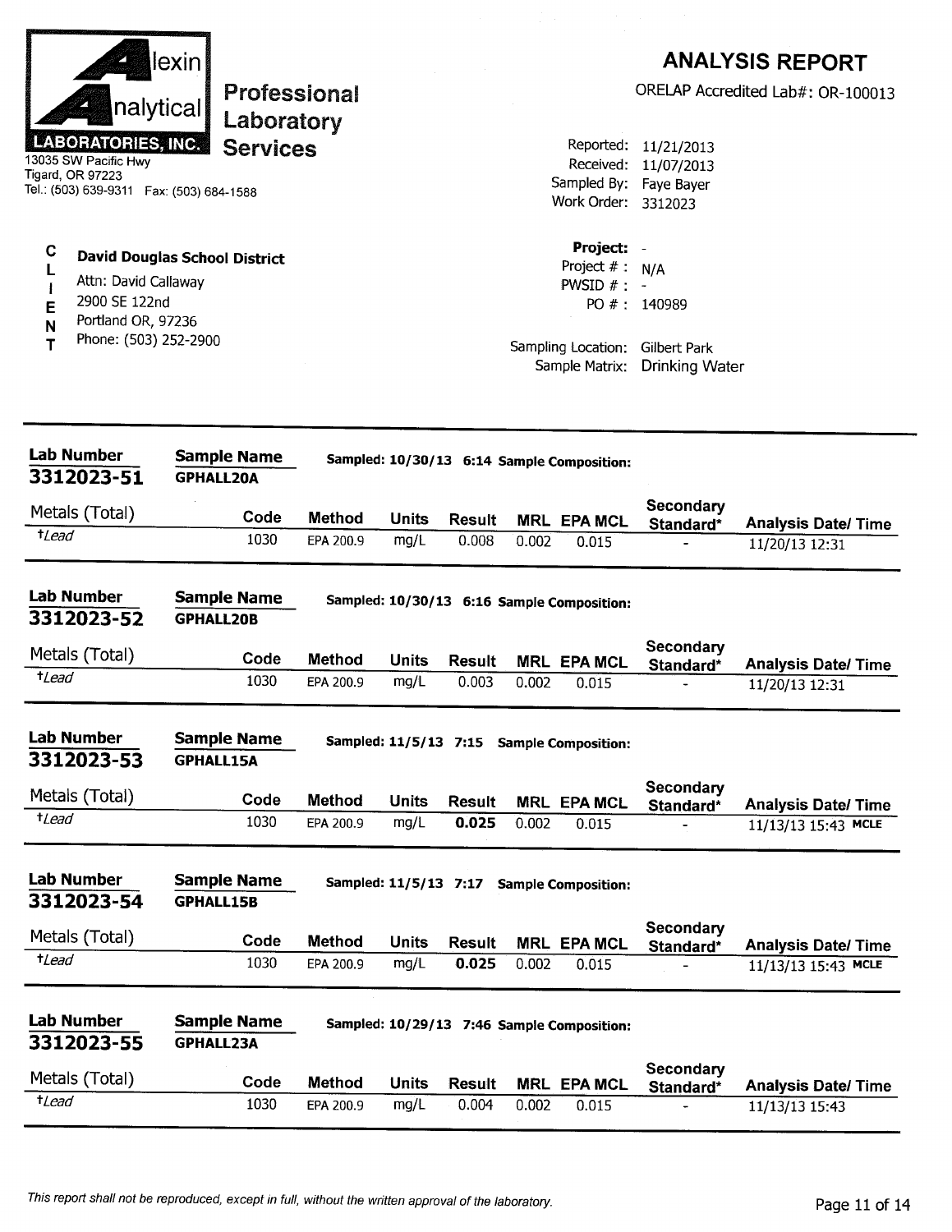|                                           | lexin                                   |               |              |               |       |                                            |                                 | <b>ANALYSIS REPORT</b>            |
|-------------------------------------------|-----------------------------------------|---------------|--------------|---------------|-------|--------------------------------------------|---------------------------------|-----------------------------------|
|                                           | Professional<br>nalytical<br>Laboratory |               |              |               |       |                                            |                                 | ORELAP Accredited Lab#: OR-100013 |
| <b>LABORATORIES, INC.</b>                 | <b>Services</b>                         |               |              |               |       | Reported:                                  | 11/21/2013                      |                                   |
| 13035 SW Pacific Hwy                      |                                         |               |              |               |       | Received:                                  | 11/07/2013                      |                                   |
| Tigard, OR 97223                          |                                         |               |              |               |       | Sampled By:                                | Faye Bayer                      |                                   |
| Tel.: (503) 639-9311  Fax: (503) 684-1588 |                                         |               |              |               |       | Work Order: 3312023                        |                                 |                                   |
| С                                         |                                         |               |              |               |       | Project:                                   |                                 |                                   |
|                                           | <b>David Douglas School District</b>    |               |              |               |       | Project $#$ :                              | N/A                             |                                   |
| Attn: David Callaway                      |                                         |               |              |               |       | PWSID $#$ :                                |                                 |                                   |
| 2900 SE 122nd<br>Е                        |                                         |               |              |               |       |                                            | PO #: 140989                    |                                   |
| Portland OR, 97236<br>N                   |                                         |               |              |               |       |                                            |                                 |                                   |
| Phone: (503) 252-2900                     |                                         |               |              |               |       |                                            | Sampling Location: Gilbert Park |                                   |
|                                           |                                         |               |              |               |       | Sample Matrix:                             | <b>Drinking Water</b>           |                                   |
|                                           |                                         |               |              |               |       |                                            |                                 |                                   |
| <b>Lab Number</b>                         | <b>Sample Name</b>                      |               |              |               |       | Sampled: 10/30/13 6:14 Sample Composition: |                                 |                                   |
| 3312023-51                                | <b>GPHALL20A</b>                        |               |              |               |       |                                            |                                 |                                   |
| Metals (Total)                            | Code                                    | Method        | <b>Units</b> | Result        |       | <b>MRL EPA MCL</b>                         | Secondary<br>Standard*          | <b>Analysis Date/Time</b>         |
| $t$ Lead                                  | 1030                                    | EPA 200.9     | mg/L         | 0.008         | 0.002 | 0.015                                      |                                 | 11/20/13 12:31                    |
|                                           |                                         |               |              |               |       |                                            |                                 |                                   |
| <b>Lab Number</b>                         | <b>Sample Name</b>                      |               |              |               |       | Sampled: 10/30/13 6:16 Sample Composition: |                                 |                                   |
| 3312023-52                                | <b>GPHALL20B</b>                        |               |              |               |       |                                            |                                 |                                   |
| Metals (Total)                            | Code                                    | <b>Method</b> | Units        | <b>Result</b> |       | <b>MRL EPA MCL</b>                         | Secondary<br>Standard*          | <b>Analysis Date/Time</b>         |
| $t$ Lead                                  | 1030                                    | EPA 200.9     | mg/L         | 0.003         | 0.002 | 0.015                                      |                                 | 11/20/13 12:31                    |
|                                           |                                         |               |              |               |       |                                            |                                 |                                   |
| <b>Lab Number</b>                         | <b>Sample Name</b>                      |               |              |               |       | Sampled: 11/5/13 7:15 Sample Composition:  |                                 |                                   |
| 3312023-53                                | <b>GPHALL15A</b>                        |               |              |               |       |                                            |                                 |                                   |
|                                           |                                         |               |              |               |       |                                            | <b>Secondary</b>                |                                   |
| Metals (Total)                            | Code                                    | <b>Method</b> | <b>Units</b> | <b>Result</b> |       | <b>MRL EPA MCL</b>                         | Standard*                       | <b>Analysis Date/ Time</b>        |
| <i>tLead</i>                              | 1030                                    | EPA 200.9     | mg/L         | 0.025         | 0.002 | 0.015                                      |                                 | 11/13/13 15:43 MCLE               |
| <b>Lab Number</b>                         | <b>Sample Name</b>                      |               |              |               |       | Sampled: 11/5/13 7:17 Sample Composition:  |                                 |                                   |
| 3312023-54                                | <b>GPHALL15B</b>                        |               |              |               |       |                                            |                                 |                                   |
| Metals (Total)                            | Code                                    |               |              |               |       |                                            | Secondary                       |                                   |
| $t$ <i>Lead</i>                           | 1030                                    | <b>Method</b> | <b>Units</b> | <b>Result</b> |       | <b>MRL EPA MCL</b>                         | Standard*                       | <b>Analysis Date/Time</b>         |
|                                           |                                         | EPA 200.9     | mg/L         | 0.025         | 0.002 | 0.015                                      |                                 | 11/13/13 15:43 MCLE               |
| <b>Lab Number</b>                         | <b>Sample Name</b>                      |               |              |               |       | Sampled: 10/29/13 7:46 Sample Composition: |                                 |                                   |
| 3312023-55                                | <b>GPHALL23A</b>                        |               |              |               |       |                                            |                                 |                                   |
|                                           |                                         |               |              |               |       |                                            | <b>Secondary</b>                |                                   |
| Metals (Total)                            | Code                                    | <b>Method</b> | <b>Units</b> | <b>Result</b> | MRL   | <b>EPA MCL</b>                             | Standard*                       | <b>Analysis Date/ Time</b>        |
| $t$ <i>Lead</i>                           | 1030                                    | EPA 200.9     | mg/L         | 0.004         | 0.002 | 0.015                                      |                                 | 11/13/13 15:43                    |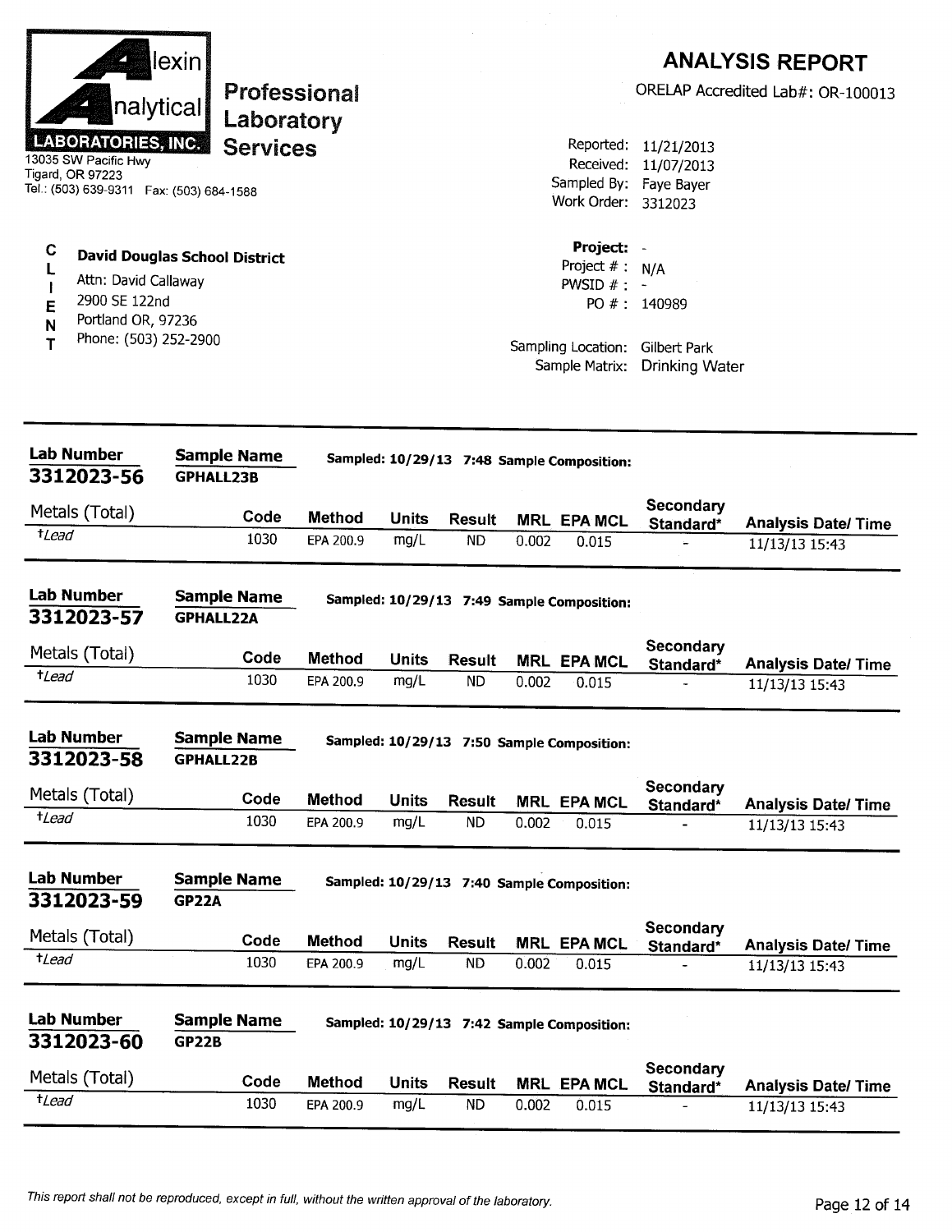| nalytical<br><b>LABORATORIES, INC.</b><br>13035 SW Pacific Hwy<br>Tigard, OR 97223<br>Tel.: (503) 639-9311  Fax: (503) 684-1588<br>C<br>L<br>Attn: David Callaway<br>2900 SE 122nd<br>E<br>Portland OR, 97236<br>N<br>Phone: (503) 252-2900<br>т | lexin<br><b>Professional</b><br>Laboratory<br><b>Services</b><br><b>David Douglas School District</b> |                            |                      |                            |       | Sampled By: Faye Bayer<br>Work Order: 3312023<br>Project:<br>Project $# : N/A$<br>PWSID $# : -$<br>Sampling Location:<br>Sample Matrix: | Reported: 11/21/2013<br>Received: 11/07/2013<br>PO #: 140989<br>Gilbert Park<br><b>Drinking Water</b> | <b>ANALYSIS REPORT</b><br>ORELAP Accredited Lab#: OR-100013 |
|--------------------------------------------------------------------------------------------------------------------------------------------------------------------------------------------------------------------------------------------------|-------------------------------------------------------------------------------------------------------|----------------------------|----------------------|----------------------------|-------|-----------------------------------------------------------------------------------------------------------------------------------------|-------------------------------------------------------------------------------------------------------|-------------------------------------------------------------|
| <b>Lab Number</b>                                                                                                                                                                                                                                | <b>Sample Name</b>                                                                                    |                            |                      |                            |       |                                                                                                                                         |                                                                                                       |                                                             |
| 3312023-56                                                                                                                                                                                                                                       | <b>GPHALL23B</b>                                                                                      |                            |                      |                            |       | Sampled: 10/29/13 7:48 Sample Composition:                                                                                              |                                                                                                       |                                                             |
| Metals (Total)                                                                                                                                                                                                                                   | Code                                                                                                  | <b>Method</b>              | <b>Units</b>         | Result                     |       | <b>MRL EPA MCL</b>                                                                                                                      | Secondary                                                                                             |                                                             |
| $t$ <i>Lead</i>                                                                                                                                                                                                                                  | 1030                                                                                                  | EPA 200.9                  | mg/L                 | <b>ND</b>                  | 0.002 | 0.015                                                                                                                                   | Standard*                                                                                             | <b>Analysis Date/Time</b><br>11/13/13 15:43                 |
| <b>Lab Number</b><br>3312023-57<br>Metals (Total)<br>$t$ <i>Lead</i>                                                                                                                                                                             | <b>Sample Name</b><br><b>GPHALL22A</b><br>Code<br>1030                                                | <b>Method</b><br>EPA 200.9 | <b>Units</b><br>mg/L | <b>Result</b><br><b>ND</b> | 0.002 | Sampled: 10/29/13 7:49 Sample Composition:<br><b>MRL EPA MCL</b><br>0.015                                                               | Secondary<br>Standard*                                                                                | <b>Analysis Date/ Time</b><br>11/13/13 15:43                |
| <b>Lab Number</b><br>3312023-58                                                                                                                                                                                                                  | <b>Sample Name</b><br><b>GPHALL22B</b>                                                                |                            |                      |                            |       | Sampled: 10/29/13 7:50 Sample Composition:                                                                                              | Secondary                                                                                             |                                                             |
| Metals (Total)<br>$t$ Lead                                                                                                                                                                                                                       | Code<br>1030                                                                                          | <b>Method</b><br>EPA 200.9 | <b>Units</b><br>mg/L | <b>Result</b><br><b>ND</b> | 0.002 | <b>MRL EPA MCL</b><br>0.015                                                                                                             | Standard*                                                                                             | <b>Analysis Date/Time</b><br>11/13/13 15:43                 |
| <b>Lab Number</b><br>3312023-59                                                                                                                                                                                                                  | <b>Sample Name</b><br><b>GP22A</b>                                                                    |                            |                      |                            |       | Sampled: 10/29/13 7:40 Sample Composition:                                                                                              | Secondary                                                                                             |                                                             |
| Metals (Total)<br>$t$ Lead                                                                                                                                                                                                                       | Code                                                                                                  | <b>Method</b>              | <b>Units</b>         | <b>Result</b>              |       | <b>MRL EPA MCL</b>                                                                                                                      | Standard*                                                                                             | <b>Analysis Date/Time</b>                                   |
| <b>Lab Number</b><br>3312023-60                                                                                                                                                                                                                  | 1030<br><b>Sample Name</b><br><b>GP22B</b>                                                            | EPA 200.9                  | mg/L                 | <b>ND</b>                  | 0.002 | 0.015<br>Sampled: 10/29/13 7:42 Sample Composition:                                                                                     |                                                                                                       | 11/13/13 15:43                                              |
| Metals (Total)                                                                                                                                                                                                                                   | Code                                                                                                  | <b>Method</b>              | <b>Units</b>         | <b>Result</b>              |       | <b>MRL EPA MCL</b>                                                                                                                      | Secondary<br>Standard*                                                                                | <b>Analysis Date/Time</b>                                   |
| $t$ Lead                                                                                                                                                                                                                                         | 1030                                                                                                  | EPA 200.9                  | mg/L                 | <b>ND</b>                  | 0.002 | 0.015                                                                                                                                   |                                                                                                       | 11/13/13 15:43                                              |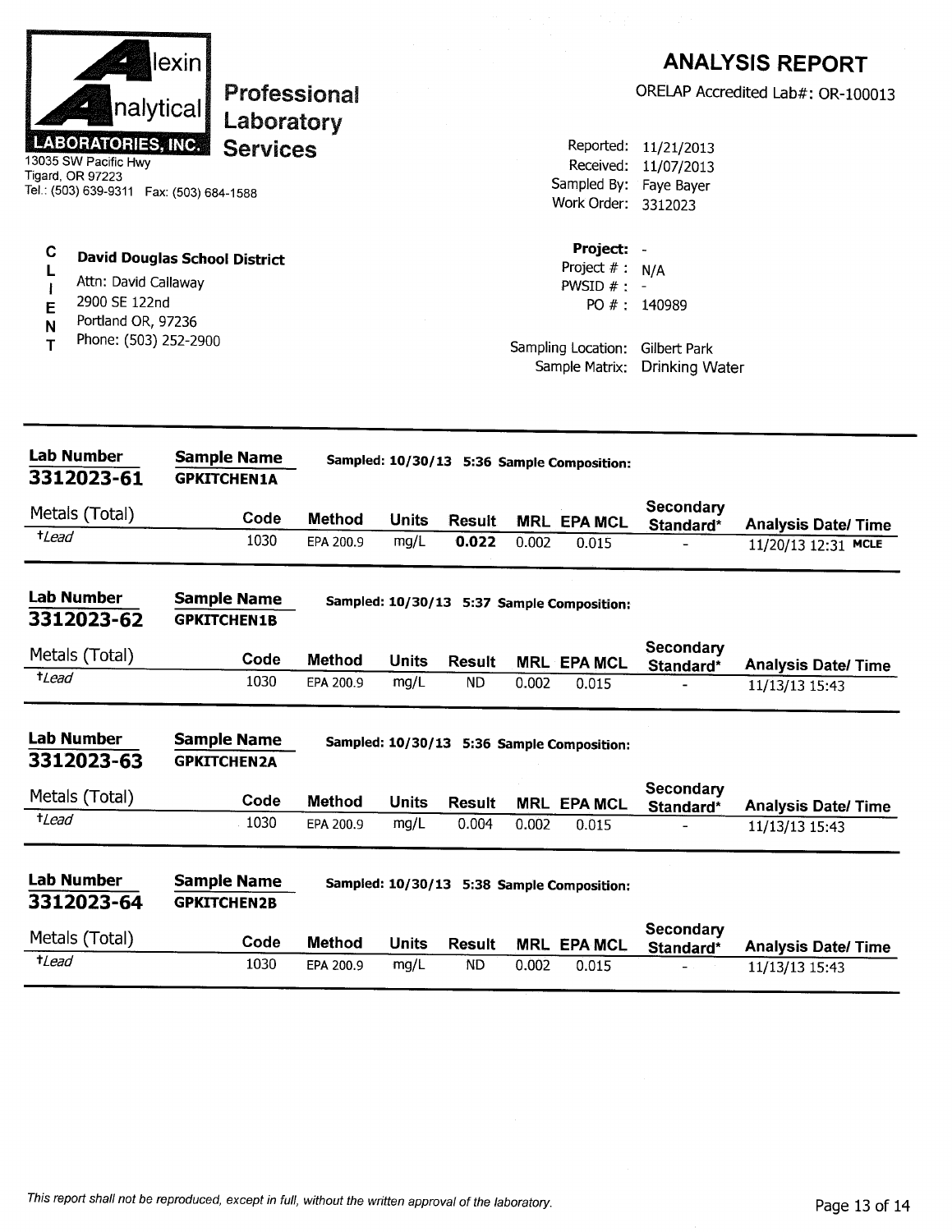|                 | nalytical                                                             | lexin<br>Professional<br>Laboratory                          |               |              |                            |       |                                                |                                                    | <b>ANALYSIS REPORT</b><br>ORELAP Accredited Lab#: OR-100013 |
|-----------------|-----------------------------------------------------------------------|--------------------------------------------------------------|---------------|--------------|----------------------------|-------|------------------------------------------------|----------------------------------------------------|-------------------------------------------------------------|
|                 | <b>LABORATORIES, INC.</b><br>13035 SW Pacific Hwy<br>Tigard, OR 97223 | <b>Services</b><br>Tel.: (503) 639-9311  Fax: (503) 684-1588 |               |              |                            |       | Reported:<br>Received:                         | 11/21/2013<br>11/07/2013<br>Sampled By: Faye Bayer |                                                             |
|                 |                                                                       |                                                              |               |              |                            |       | Work Order: 3312023                            |                                                    |                                                             |
| C<br>L          | Attn: David Callaway                                                  | <b>David Douglas School District</b>                         |               |              |                            |       | Project:<br>Project $# : N/A$<br>PWSID $# : -$ |                                                    |                                                             |
| Е               | 2900 SE 122nd                                                         |                                                              |               |              |                            |       |                                                | PO #: 140989                                       |                                                             |
| N<br>Т          | Portland OR, 97236<br>Phone: (503) 252-2900                           |                                                              |               |              |                            |       | Sampling Location:<br>Sample Matrix:           | Gilbert Park<br><b>Drinking Water</b>              |                                                             |
|                 | <b>Lab Number</b><br>3312023-61                                       | <b>Sample Name</b><br><b>GPKITCHEN1A</b>                     |               |              |                            |       | Sampled: 10/30/13 5:36 Sample Composition:     |                                                    |                                                             |
|                 | Metals (Total)                                                        | Code                                                         | <b>Method</b> | <b>Units</b> | <b>Result</b>              |       | <b>MRL EPA MCL</b>                             | Secondary<br>Standard*                             | <b>Analysis Date/Time</b>                                   |
| $t$ <i>Lead</i> |                                                                       | 1030                                                         | EPA 200.9     | mg/L         | 0.022                      | 0.002 | 0.015                                          |                                                    | 11/20/13 12:31 MCLE                                         |
|                 | Lab Number<br>3312023-62                                              | <b>Sample Name</b><br><b>GPKITCHEN1B</b>                     |               |              |                            |       | Sampled: 10/30/13 5:37 Sample Composition:     |                                                    |                                                             |
|                 | Metals (Total)                                                        | Code                                                         | <b>Method</b> | <b>Units</b> |                            |       |                                                | Secondary                                          |                                                             |
| $t$ Lead        |                                                                       | 1030                                                         | EPA 200.9     | mg/L         | <b>Result</b><br><b>ND</b> | 0.002 | <b>MRL EPA MCL</b><br>0.015                    | Standard*                                          | <b>Analysis Date/ Time</b><br>11/13/13 15:43                |
|                 | <b>Lab Number</b><br>3312023-63                                       | <b>Sample Name</b><br><b>GPKITCHEN2A</b>                     |               |              |                            |       | Sampled: 10/30/13 5:36 Sample Composition:     |                                                    |                                                             |
|                 | Metals (Total)                                                        | Code                                                         | <b>Method</b> | <b>Units</b> | <b>Result</b>              |       | <b>MRL EPA MCL</b>                             | Secondary                                          |                                                             |
| $t$ Lead        |                                                                       | 1030                                                         | EPA 200.9     | mg/L         | 0.004                      | 0.002 | 0.015                                          | Standard*                                          | <b>Analysis Date/ Time</b><br>11/13/13 15:43                |
|                 | <b>Lab Number</b><br>3312023-64                                       | <b>Sample Name</b><br><b>GPKITCHEN2B</b>                     |               |              |                            |       | Sampled: 10/30/13 5:38 Sample Composition:     |                                                    |                                                             |
|                 | Metals (Total)                                                        | Code                                                         | Method        | <b>Units</b> | <b>Result</b>              |       | <b>MRL EPA MCL</b>                             | <b>Secondary</b>                                   |                                                             |
| $t$ <i>Lead</i> |                                                                       | 1030                                                         | EPA 200.9     | mg/L         | <b>ND</b>                  | 0.002 | 0.015                                          | Standard*                                          | <b>Analysis Date/Time</b><br>11/13/13 15:43                 |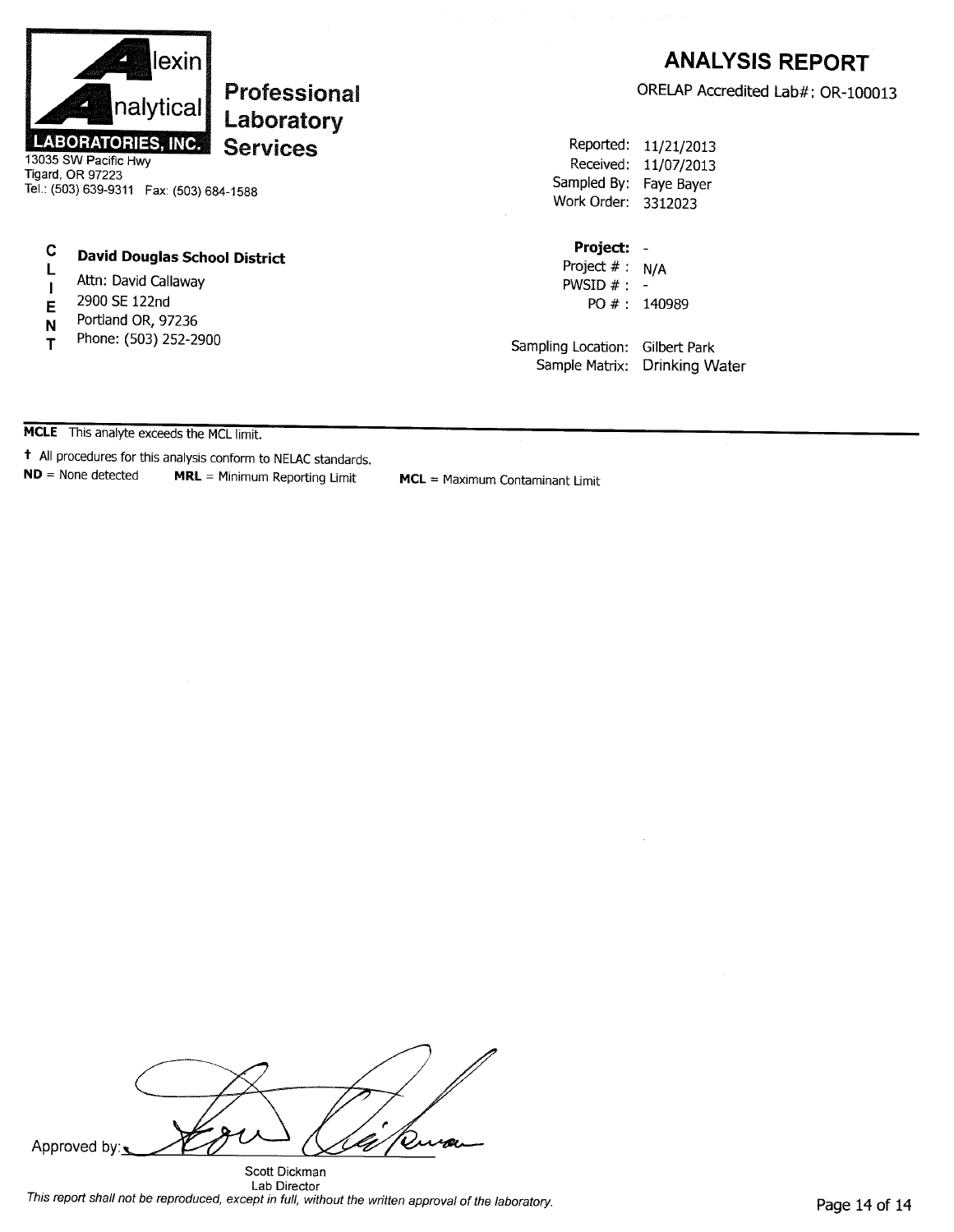

# Professional Laboratory **Services**

13035 SW Pacific Hwy Tigard, OR 97223 Tel.: (503) 639-9311 Fax: (503) 684-1588

#### $\mathbf C$ **David Douglas School District**

- L Attn: David Callaway  $\mathbf{I}$
- 2900 SE 122nd E
- Portland OR, 97236 N
- Phone: (503) 252-2900 T

# **ANALYSIS REPORT**

ORELAP Accredited Lab#: OR-100013

Reported: 11/21/2013 Received: 11/07/2013 Sampled By: Faye Bayer Work Order: 3312023

#### Project: -

Project  $# : N/A$ PWSID  $# : -$ PO #: 140989

Sampling Location: Gilbert Park Sample Matrix: Drinking Water

MCLE This analyte exceeds the MCL limit.

t All procedures for this analysis conform to NELAC standards.  $ND = None detected$ MRL = Minimum Reporting Limit

MCL = Maximum Contaminant Limit

Approved by:

Scott Dickman Lab Director This report shall not be reproduced, except in full, without the written approval of the laboratory.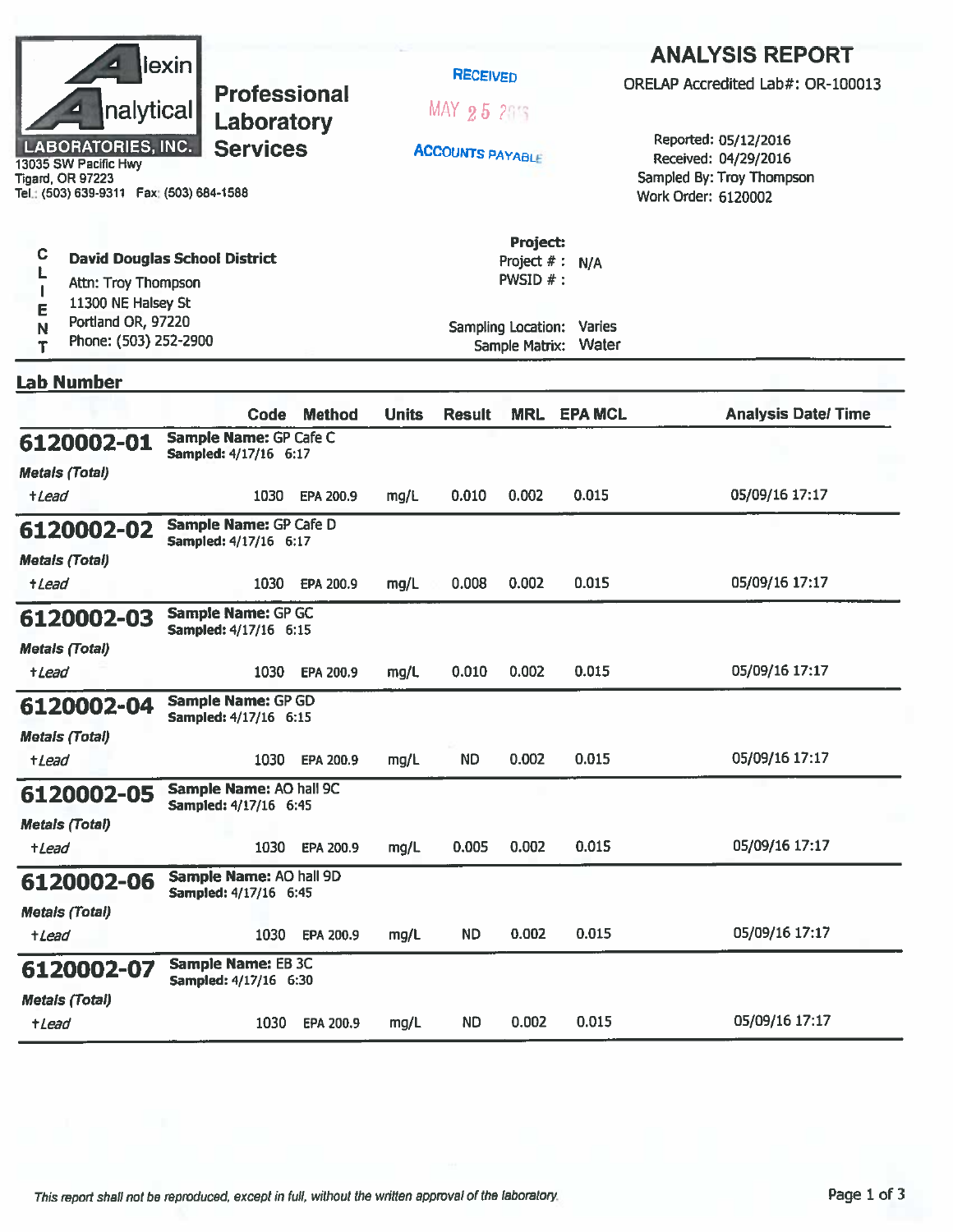| lexin <br><b>Professional</b><br>nalytical<br>Laboratory<br><b>LABORATORIES, INC.</b><br><b>Services</b><br>13035 SW Pacific Hwy<br><b>Tigard, OR 97223</b><br>Tel.: (503) 639-9311    Fax: (503) 684-1588 |  |                                                         |               | <b>RECEIVED</b><br>MAX 25 215<br><b>ACCOUNTS PAYABLE</b> |                                                                             |                                           | <b>ANALYSIS REPORT</b><br>ORELAP Accredited Lab#: OR-100013<br>Reported: 05/12/2016<br>Received: 04/29/2016<br>Sampled By: Troy Thompson<br>Work Order: 6120002 |                           |
|------------------------------------------------------------------------------------------------------------------------------------------------------------------------------------------------------------|--|---------------------------------------------------------|---------------|----------------------------------------------------------|-----------------------------------------------------------------------------|-------------------------------------------|-----------------------------------------------------------------------------------------------------------------------------------------------------------------|---------------------------|
| C<br><b>David Douglas School District</b><br>Attn: Troy Thompson<br>11300 NE Halsey St<br>Е<br>Portland OR, 97220<br>N<br>Phone: (503) 252-2900<br>Т                                                       |  |                                                         |               |                                                          | Project:<br>Project $#$ :<br><b>PWSID <math>#</math>:</b><br>Sample Matrix: | N/A<br>Sampling Location: Varies<br>Water |                                                                                                                                                                 |                           |
| <b>Lab Number</b>                                                                                                                                                                                          |  |                                                         |               |                                                          |                                                                             |                                           |                                                                                                                                                                 |                           |
|                                                                                                                                                                                                            |  | Code                                                    | <b>Method</b> | <b>Units</b>                                             | <b>Result</b>                                                               | <b>MRL</b>                                | <b>EPA MCL</b>                                                                                                                                                  | <b>Analysis Date/Time</b> |
| 6120002-01<br><b>Metals (Total)</b>                                                                                                                                                                        |  | Sample Name: GP Cafe C<br>Sampled: 4/17/16 6:17         |               |                                                          |                                                                             |                                           |                                                                                                                                                                 |                           |
| +Lead                                                                                                                                                                                                      |  | 1030                                                    | EPA 200.9     | mg/L                                                     | 0.010                                                                       | 0.002                                     | 0.015                                                                                                                                                           | 05/09/16 17:17            |
| 6120002-02<br><b>Metals (Total)</b><br><i><b>+Lead</b></i>                                                                                                                                                 |  | Sample Name: GP Cafe D<br>Sampled: 4/17/16 6:17<br>1030 | EPA 200.9     | mg/L                                                     | 0.008                                                                       | 0.002                                     | 0.015                                                                                                                                                           | 05/09/16 17:17            |
| 6120002-03<br><b>Metals (Total)</b>                                                                                                                                                                        |  | Sample Name: GP GC<br>Sampled: 4/17/16 6:15             |               |                                                          |                                                                             |                                           |                                                                                                                                                                 |                           |
| +Lead                                                                                                                                                                                                      |  | 1030                                                    | EPA 200.9     | mg/L                                                     | 0.010                                                                       | 0.002                                     | 0.015                                                                                                                                                           | 05/09/16 17:17            |
| 6120002-04<br><b>Metals (Total)</b>                                                                                                                                                                        |  | <b>Sample Name: GP GD</b><br>Sampled: 4/17/16 6:15      |               |                                                          |                                                                             |                                           |                                                                                                                                                                 |                           |
| +Lead                                                                                                                                                                                                      |  | 1030                                                    | EPA 200.9     | mg/L                                                     | <b>ND</b>                                                                   | 0.002                                     | 0.015                                                                                                                                                           | 05/09/16 17:17            |
| 6120002-05                                                                                                                                                                                                 |  | Sample Name: AO hall 9C<br>Sampled: 4/17/16 6:45        |               |                                                          |                                                                             |                                           |                                                                                                                                                                 |                           |
| <b>Metals (Total)</b><br>+Lead                                                                                                                                                                             |  | 1030                                                    | EPA 200.9     | mg/L                                                     | 0.005                                                                       | 0.002                                     | 0.015                                                                                                                                                           | 05/09/16 17:17            |
| 6120002-06<br><b>Metals (Total)</b>                                                                                                                                                                        |  | Sample Name: AO hall 9D<br>Sampled: 4/17/16 6:45        |               |                                                          |                                                                             |                                           |                                                                                                                                                                 |                           |
| $t$ <i>Lead</i>                                                                                                                                                                                            |  | 1030                                                    | EPA 200.9     | mg/L                                                     | <b>ND</b>                                                                   | 0.002                                     | 0.015                                                                                                                                                           | 05/09/16 17:17            |
| 6120002-07                                                                                                                                                                                                 |  | <b>Sample Name: EB 3C</b><br>Sampled: 4/17/16 6:30      |               |                                                          |                                                                             |                                           |                                                                                                                                                                 |                           |
| <b>Metals (Total)</b><br>+Lead                                                                                                                                                                             |  | 1030                                                    | EPA 200.9     | mg/L                                                     | <b>ND</b>                                                                   | 0.002                                     | 0.015                                                                                                                                                           | 05/09/16 17:17            |
|                                                                                                                                                                                                            |  |                                                         |               |                                                          |                                                                             |                                           |                                                                                                                                                                 |                           |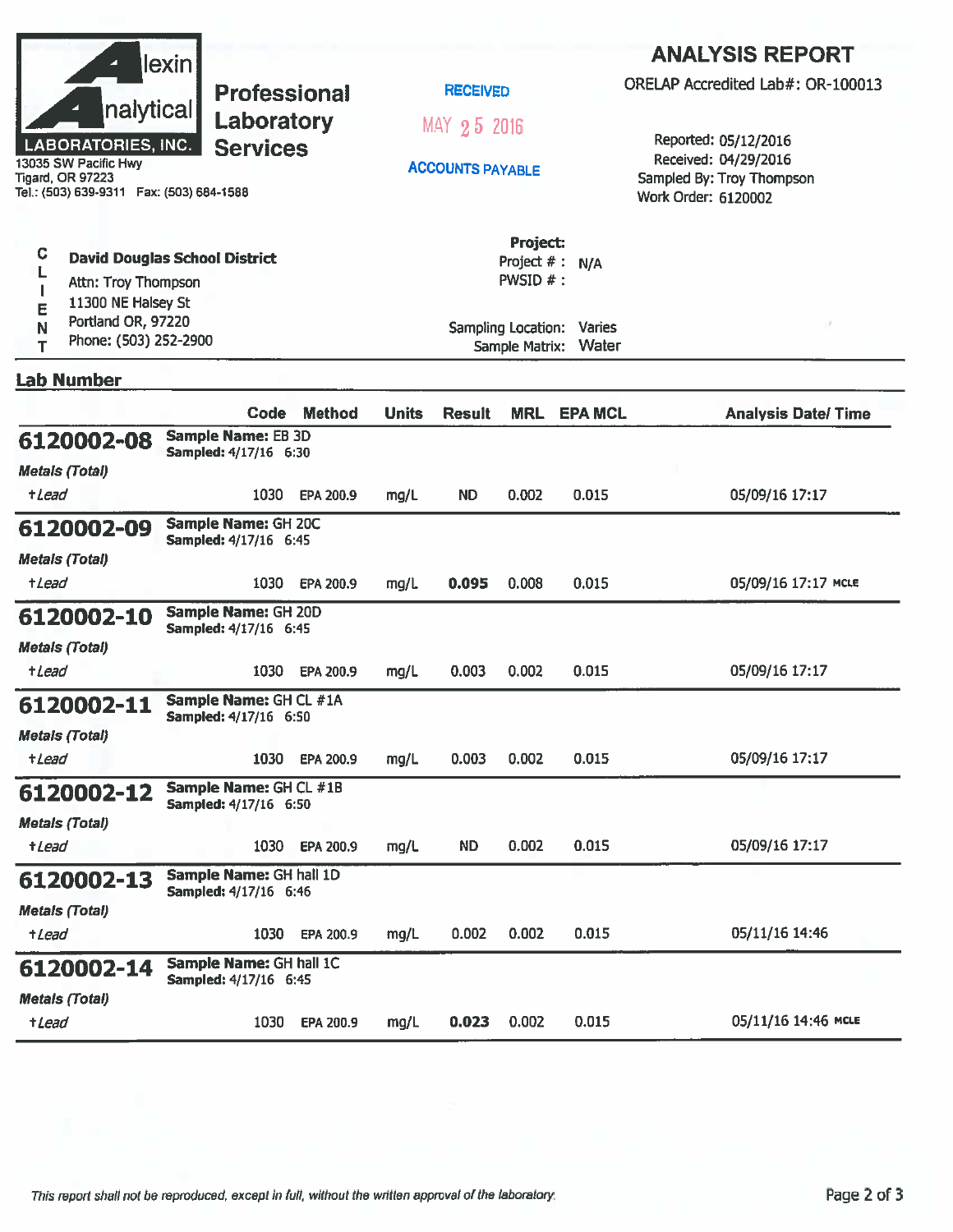|                                                                                              | lexin                                                  |               |              |                         |                                         |                                    | <b>ANALYSIS REPORT</b>                                                   |  |
|----------------------------------------------------------------------------------------------|--------------------------------------------------------|---------------|--------------|-------------------------|-----------------------------------------|------------------------------------|--------------------------------------------------------------------------|--|
|                                                                                              | <b>Professional</b>                                    |               |              | <b>RECEIVED</b>         |                                         |                                    | ORELAP Accredited Lab#: OR-100013                                        |  |
| nalytical<br>Laboratory<br><b>LABORATORIES, INC.</b><br><b>Services</b>                      |                                                        |               |              | MAY 25 2016             |                                         |                                    | Reported: 05/12/2016                                                     |  |
| 13035 SW Pacific Hwy<br><b>Tigard, OR 97223</b><br>Tel.: (503) 639-9311  Fax: (503) 684-1588 |                                                        |               |              | <b>ACCOUNTS PAYABLE</b> |                                         |                                    | Received: 04/29/2016<br>Sampled By: Troy Thompson<br>Work Order: 6120002 |  |
| C<br><b>David Douglas School District</b><br>Attn: Troy Thompson<br>11300 NE Halsey St       |                                                        |               |              |                         | Project:<br>Project # : N/A<br>PWSID #: |                                    |                                                                          |  |
| E<br>Portland OR, 97220<br>N<br>Phone: (503) 252-2900<br>T                                   |                                                        |               |              |                         | Sample Matrix:                          | Sampling Location: Varies<br>Water |                                                                          |  |
| <b>Lab Number</b>                                                                            |                                                        |               |              |                         |                                         |                                    |                                                                          |  |
|                                                                                              | Code                                                   | <b>Method</b> | <b>Units</b> | <b>Result</b>           | <b>MRL</b>                              | <b>EPA MCL</b>                     | <b>Analysis Date/Time</b>                                                |  |
| 6120002-08<br><b>Metals (Total)</b>                                                          | <b>Sample Name: EB 3D</b><br>Sampled: 4/17/16 6:30     |               |              |                         |                                         |                                    |                                                                          |  |
| <i><b>+Lead</b></i>                                                                          | 1030                                                   | EPA 200.9     | mg/L         | <b>ND</b>               | 0.002                                   | 0.015                              | 05/09/16 17:17                                                           |  |
| 6120002-09                                                                                   | Sample Name: GH 20C<br>Sampled: 4/17/16 6:45           |               |              |                         |                                         |                                    |                                                                          |  |
| <b>Metals (Total)</b><br>+ <i>Lead</i>                                                       | 1030                                                   | EPA 200.9     | mg/L         | 0.095                   | 0.008                                   | 0.015                              | 05/09/16 17:17 MCLE                                                      |  |
| 6120002-10                                                                                   | Sample Name: GH 20D<br>Sampled: 4/17/16 6:45           |               |              |                         |                                         |                                    |                                                                          |  |
| <b>Metals (Total)</b><br>+Lead                                                               | 1030                                                   | EPA 200.9     | mg/L         | 0.003                   | 0.002                                   | 0.015                              | 05/09/16 17:17                                                           |  |
| 6120002-11                                                                                   | Sample Name: GH CL #1A<br><b>Sampled: 4/17/16 6:50</b> |               |              |                         |                                         |                                    |                                                                          |  |
| <b>Metals (Total)</b><br>+Lead                                                               | 1030                                                   | EPA 200.9     | mg/L         | 0.003                   | 0.002                                   | 0.015                              | 05/09/16 17:17                                                           |  |
| 6120002-12                                                                                   | Sample Name: GH CL #1B<br>Sampled: 4/17/16 6:50        |               |              |                         |                                         |                                    |                                                                          |  |
| <b>Metals (Total)</b>                                                                        |                                                        |               |              |                         |                                         |                                    |                                                                          |  |
| +Lead                                                                                        | 1030                                                   | EPA 200.9     | mg/L         | ND.                     | 0.002                                   | 0.015                              | 05/09/16 17:17                                                           |  |
| 6120002-13                                                                                   | Sample Name: GH hall 1D<br>Sampled: 4/17/16 6:46       |               |              |                         |                                         |                                    |                                                                          |  |
| <b>Metals (Total)</b><br>+Lead                                                               | 1030                                                   | EPA 200.9     | mg/L         | 0.002                   | 0.002                                   | 0.015                              | 05/11/16 14:46                                                           |  |
| 6120002-14                                                                                   | Sample Name: GH hall 1C                                |               |              |                         |                                         |                                    |                                                                          |  |
| <b>Metals (Total)</b>                                                                        | Sampled: 4/17/16 6:45                                  |               |              |                         |                                         |                                    |                                                                          |  |
| +Lead                                                                                        | 1030                                                   | EPA 200.9     | mg/L         | 0.023                   | 0.002                                   | 0.015                              | 05/11/16 14:46 MCLE                                                      |  |